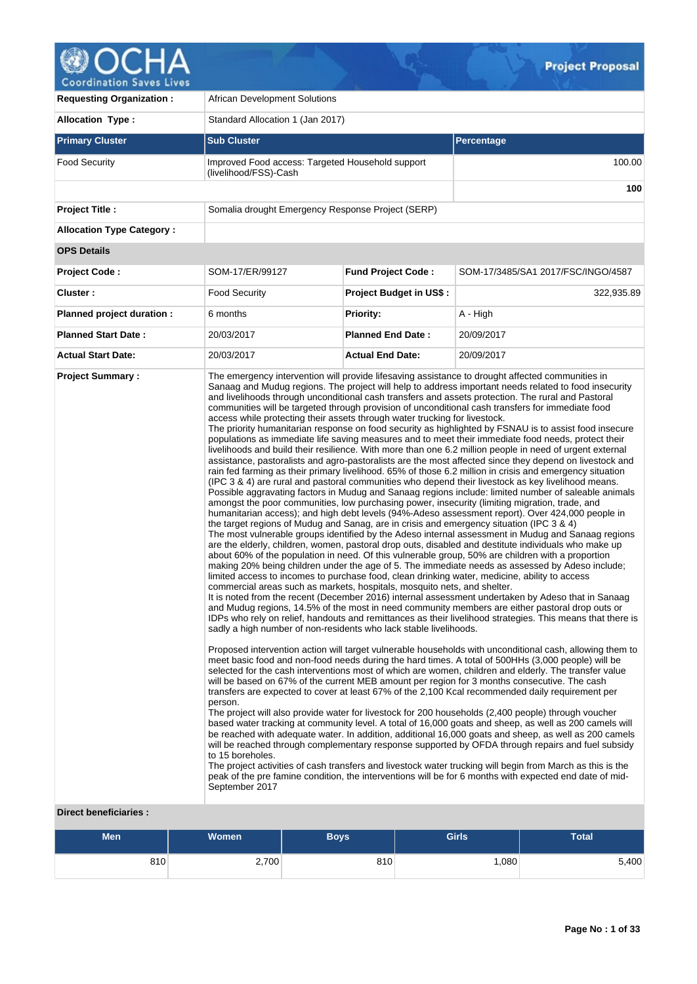

**Requesting Organization : | African Development Solutions Allocation Type :** Standard Allocation 1 (Jan 2017) **Primary Cluster Sub Cluster Sub Cluster** Sub Cluster Sub Cluster Sub Cluster Sub Cluster Sub Cluster Sub Cluster Food Security **Improved Food access: Targeted Household support** (livelihood/FSS)-Cash 100.00 **100 Project Title :** Somalia drought Emergency Response Project (SERP) **Allocation Type Category : OPS Details Project Code :** SOM-17/ER/99127 **Fund Project Code :** SOM-17/3485/SA1 2017/FSC/INGO/4587 **Cluster :** The security **Project Budget in US\$ :** 322,935.89 322,935.89 **Planned project duration :** 6 months **Priority:** A - High **Planned Start Date :** 20/03/2017 **Planned End Date :** 20/09/2017 **Actual Start Date:** 20/03/2017 **Actual End Date:** 20/09/2017 **Project Summary :** The emergency intervention will provide lifesaving assistance to drought affected communities in Sanaag and Mudug regions. The project will help to address important needs related to food insecurity and livelihoods through unconditional cash transfers and assets protection. The rural and Pastoral communities will be targeted through provision of unconditional cash transfers for immediate food access while protecting their assets through water trucking for livestock. The priority humanitarian response on food security as highlighted by FSNAU is to assist food insecure populations as immediate life saving measures and to meet their immediate food needs, protect their livelihoods and build their resilience. With more than one 6.2 million people in need of urgent external assistance, pastoralists and agro-pastoralists are the most affected since they depend on livestock and rain fed farming as their primary livelihood. 65% of those 6.2 million in crisis and emergency situation (IPC 3 & 4) are rural and pastoral communities who depend their livestock as key livelihood means. Possible aggravating factors in Mudug and Sanaag regions include: limited number of saleable animals amongst the poor communities, low purchasing power, insecurity (limiting migration, trade, and humanitarian access); and high debt levels (94%-Adeso assessment report). Over 424,000 people in the target regions of Mudug and Sanag, are in crisis and emergency situation (IPC 3 & 4) The most vulnerable groups identified by the Adeso internal assessment in Mudug and Sanaag regions are the elderly, children, women, pastoral drop outs, disabled and destitute individuals who make up about 60% of the population in need. Of this vulnerable group, 50% are children with a proportion making 20% being children under the age of 5. The immediate needs as assessed by Adeso include; limited access to incomes to purchase food, clean drinking water, medicine, ability to access commercial areas such as markets, hospitals, mosquito nets, and shelter. It is noted from the recent (December 2016) internal assessment undertaken by Adeso that in Sanaag and Mudug regions, 14.5% of the most in need community members are either pastoral drop outs or IDPs who rely on relief, handouts and remittances as their livelihood strategies. This means that there is sadly a high number of non-residents who lack stable livelihoods. Proposed intervention action will target vulnerable households with unconditional cash, allowing them to meet basic food and non-food needs during the hard times. A total of 500HHs (3,000 people) will be selected for the cash interventions most of which are women, children and elderly. The transfer value will be based on 67% of the current MEB amount per region for 3 months consecutive. The cash transfers are expected to cover at least 67% of the 2,100 Kcal recommended daily requirement per person. The project will also provide water for livestock for 200 households (2,400 people) through voucher based water tracking at community level. A total of 16,000 goats and sheep, as well as 200 camels will be reached with adequate water. In addition, additional 16,000 goats and sheep, as well as 200 camels will be reached through complementary response supported by OFDA through repairs and fuel subsidy to 15 boreholes. The project activities of cash transfers and livestock water trucking will begin from March as this is the peak of the pre famine condition, the interventions will be for 6 months with expected end date of mid-September 2017

# **Direct beneficiaries :**

| Men | <b>Women</b> | Boys | <b>Girls</b> | Total |
|-----|--------------|------|--------------|-------|
| 810 | 2,700        | 810  | ,080         | 5,400 |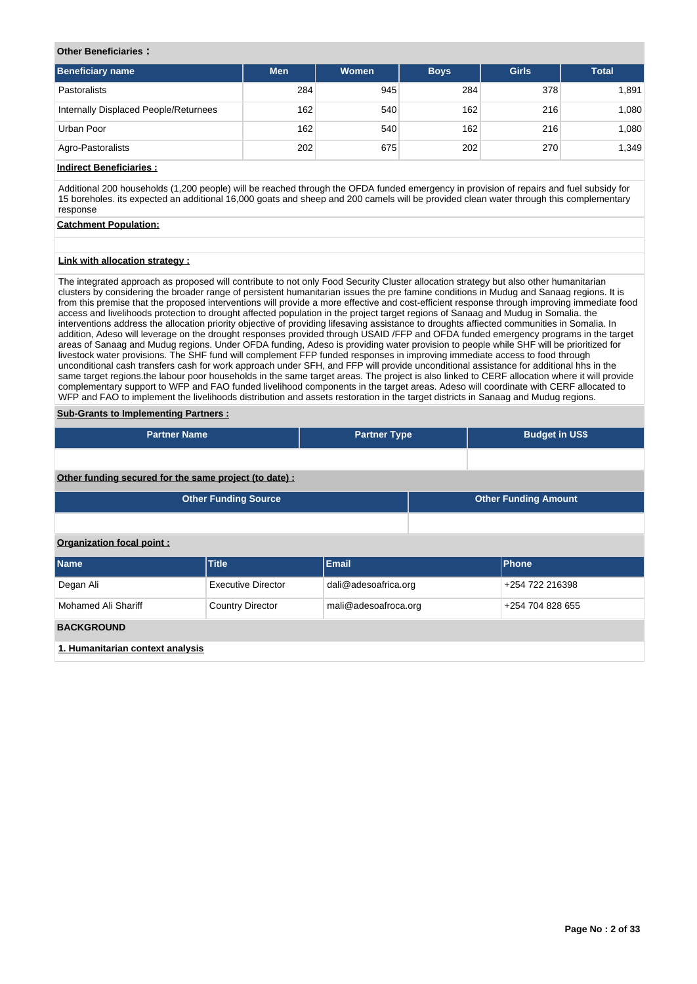# **Other Beneficiaries :**

| Beneficiary name                      | <b>Men</b> | Women | <b>Boys</b> | <b>Girls</b> | <b>Total</b> |
|---------------------------------------|------------|-------|-------------|--------------|--------------|
| Pastoralists                          | 284        | 945   | 284         | 378          | 1,891        |
| Internally Displaced People/Returnees | 162        | 540   | 162         | 216          | 1,080        |
| Urban Poor                            | 162        | 540   | 162         | 216          | 1,080        |
| Agro-Pastoralists                     | 202        | 675   | 202         | 270          | 1,349        |

# **Indirect Beneficiaries :**

Additional 200 households (1,200 people) will be reached through the OFDA funded emergency in provision of repairs and fuel subsidy for 15 boreholes. its expected an additional 16,000 goats and sheep and 200 camels will be provided clean water through this complementary response

# **Catchment Population:**

# **Link with allocation strategy :**

The integrated approach as proposed will contribute to not only Food Security Cluster allocation strategy but also other humanitarian clusters by considering the broader range of persistent humanitarian issues the pre famine conditions in Mudug and Sanaag regions. It is from this premise that the proposed interventions will provide a more effective and cost-efficient response through improving immediate food access and livelihoods protection to drought affected population in the project target regions of Sanaag and Mudug in Somalia. the interventions address the allocation priority objective of providing lifesaving assistance to droughts affiected communities in Somalia. In addition, Adeso will leverage on the drought responses provided through USAID /FFP and OFDA funded emergency programs in the target areas of Sanaag and Mudug regions. Under OFDA funding, Adeso is providing water provision to people while SHF will be prioritized for livestock water provisions. The SHF fund will complement FFP funded responses in improving immediate access to food through unconditional cash transfers cash for work approach under SFH, and FFP will provide unconditional assistance for additional hhs in the same target regions.the labour poor households in the same target areas. The project is also linked to CERF allocation where it will provide complementary support to WFP and FAO funded livelihood components in the target areas. Adeso will coordinate with CERF allocated to WFP and FAO to implement the livelihoods distribution and assets restoration in the target districts in Sanaag and Mudug regions.

# **Sub-Grants to Implementing Partners :**

| <b>Partner Name</b>                                        |                           | <b>Partner Type</b>  |  | <b>Budget in US\$</b> |  |  |  |  |  |
|------------------------------------------------------------|---------------------------|----------------------|--|-----------------------|--|--|--|--|--|
|                                                            |                           |                      |  |                       |  |  |  |  |  |
| Other funding secured for the same project (to date) :     |                           |                      |  |                       |  |  |  |  |  |
| <b>Other Funding Source</b><br><b>Other Funding Amount</b> |                           |                      |  |                       |  |  |  |  |  |
|                                                            |                           |                      |  |                       |  |  |  |  |  |
| Organization focal point:                                  |                           |                      |  |                       |  |  |  |  |  |
| Name                                                       | <b>Title</b>              | <b>Email</b>         |  | Phone                 |  |  |  |  |  |
| Degan Ali                                                  | <b>Executive Director</b> | dali@adesoafrica.org |  | +254 722 216398       |  |  |  |  |  |
| Mohamed Ali Shariff                                        | <b>Country Director</b>   | mali@adesoafroca.org |  | +254 704 828 655      |  |  |  |  |  |
| <b>BACKGROUND</b>                                          |                           |                      |  |                       |  |  |  |  |  |
| 1. Humanitarian context analysis                           |                           |                      |  |                       |  |  |  |  |  |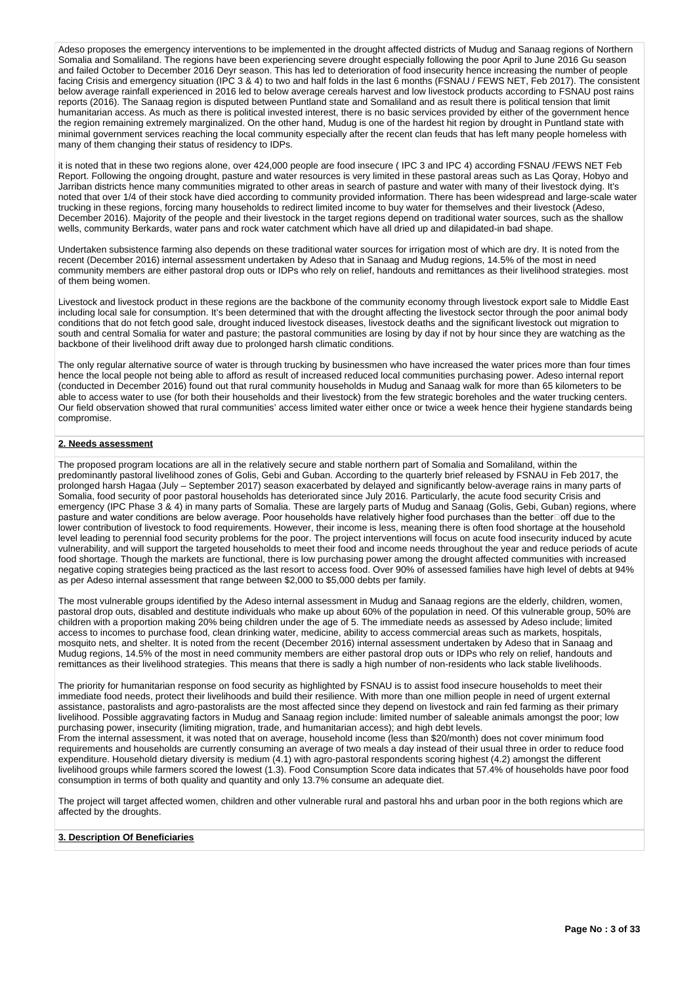Adeso proposes the emergency interventions to be implemented in the drought affected districts of Mudug and Sanaag regions of Northern Somalia and Somaliland. The regions have been experiencing severe drought especially following the poor April to June 2016 Gu season and failed October to December 2016 Deyr season. This has led to deterioration of food insecurity hence increasing the number of people facing Crisis and emergency situation (IPC 3 & 4) to two and half folds in the last 6 months (FSNAU / FEWS NET, Feb 2017). The consistent below average rainfall experienced in 2016 led to below average cereals harvest and low livestock products according to FSNAU post rains reports (2016). The Sanaag region is disputed between Puntland state and Somaliland and as result there is political tension that limit humanitarian access. As much as there is political invested interest, there is no basic services provided by either of the government hence the region remaining extremely marginalized. On the other hand, Mudug is one of the hardest hit region by drought in Puntland state with minimal government services reaching the local community especially after the recent clan feuds that has left many people homeless with many of them changing their status of residency to IDPs.

it is noted that in these two regions alone, over 424,000 people are food insecure ( IPC 3 and IPC 4) according FSNAU /FEWS NET Feb Report. Following the ongoing drought, pasture and water resources is very limited in these pastoral areas such as Las Qoray, Hobyo and Jarriban districts hence many communities migrated to other areas in search of pasture and water with many of their livestock dying. It's noted that over 1/4 of their stock have died according to community provided information. There has been widespread and large-scale water trucking in these regions, forcing many households to redirect limited income to buy water for themselves and their livestock (Adeso, December 2016). Majority of the people and their livestock in the target regions depend on traditional water sources, such as the shallow wells, community Berkards, water pans and rock water catchment which have all dried up and dilapidated-in bad shape.

Undertaken subsistence farming also depends on these traditional water sources for irrigation most of which are dry. It is noted from the recent (December 2016) internal assessment undertaken by Adeso that in Sanaag and Mudug regions, 14.5% of the most in need community members are either pastoral drop outs or IDPs who rely on relief, handouts and remittances as their livelihood strategies. most of them being women.

Livestock and livestock product in these regions are the backbone of the community economy through livestock export sale to Middle East including local sale for consumption. It's been determined that with the drought affecting the livestock sector through the poor animal body conditions that do not fetch good sale, drought induced livestock diseases, livestock deaths and the significant livestock out migration to south and central Somalia for water and pasture; the pastoral communities are losing by day if not by hour since they are watching as the backbone of their livelihood drift away due to prolonged harsh climatic conditions.

The only regular alternative source of water is through trucking by businessmen who have increased the water prices more than four times hence the local people not being able to afford as result of increased reduced local communities purchasing power. Adeso internal report (conducted in December 2016) found out that rural community households in Mudug and Sanaag walk for more than 65 kilometers to be able to access water to use (for both their households and their livestock) from the few strategic boreholes and the water trucking centers. Our field observation showed that rural communities' access limited water either once or twice a week hence their hygiene standards being compromise.

# **2. Needs assessment**

The proposed program locations are all in the relatively secure and stable northern part of Somalia and Somaliland, within the predominantly pastoral livelihood zones of Golis, Gebi and Guban. According to the quarterly brief released by FSNAU in Feb 2017, the prolonged harsh Hagaa (July – September 2017) season exacerbated by delayed and significantly below-average rains in many parts of Somalia, food security of poor pastoral households has deteriorated since July 2016. Particularly, the acute food security Crisis and emergency (IPC Phase 3 & 4) in many parts of Somalia. These are largely parts of Mudug and Sanaag (Golis, Gebi, Guban) regions, where pasture and water conditions are below average. Poor households have relatively higher food purchases than the better $\Box$ off due to the lower contribution of livestock to food requirements. However, their income is less, meaning there is often food shortage at the household level leading to perennial food security problems for the poor. The project interventions will focus on acute food insecurity induced by acute vulnerability, and will support the targeted households to meet their food and income needs throughout the year and reduce periods of acute food shortage. Though the markets are functional, there is low purchasing power among the drought affected communities with increased negative coping strategies being practiced as the last resort to access food. Over 90% of assessed families have high level of debts at 94% as per Adeso internal assessment that range between \$2,000 to \$5,000 debts per family.

The most vulnerable groups identified by the Adeso internal assessment in Mudug and Sanaag regions are the elderly, children, women, pastoral drop outs, disabled and destitute individuals who make up about 60% of the population in need. Of this vulnerable group, 50% are children with a proportion making 20% being children under the age of 5. The immediate needs as assessed by Adeso include; limited access to incomes to purchase food, clean drinking water, medicine, ability to access commercial areas such as markets, hospitals, mosquito nets, and shelter. It is noted from the recent (December 2016) internal assessment undertaken by Adeso that in Sanaag and Mudug regions, 14.5% of the most in need community members are either pastoral drop outs or IDPs who rely on relief, handouts and remittances as their livelihood strategies. This means that there is sadly a high number of non-residents who lack stable livelihoods.

The priority for humanitarian response on food security as highlighted by FSNAU is to assist food insecure households to meet their immediate food needs, protect their livelihoods and build their resilience. With more than one million people in need of urgent external assistance, pastoralists and agro-pastoralists are the most affected since they depend on livestock and rain fed farming as their primary livelihood. Possible aggravating factors in Mudug and Sanaag region include: limited number of saleable animals amongst the poor; low purchasing power, insecurity (limiting migration, trade, and humanitarian access); and high debt levels.

From the internal assessment, it was noted that on average, household income (less than \$20/month) does not cover minimum food requirements and households are currently consuming an average of two meals a day instead of their usual three in order to reduce food expenditure. Household dietary diversity is medium (4.1) with agro-pastoral respondents scoring highest (4.2) amongst the different livelihood groups while farmers scored the lowest (1.3). Food Consumption Score data indicates that 57.4% of households have poor food consumption in terms of both quality and quantity and only 13.7% consume an adequate diet.

The project will target affected women, children and other vulnerable rural and pastoral hhs and urban poor in the both regions which are affected by the droughts.

# **3. Description Of Beneficiaries**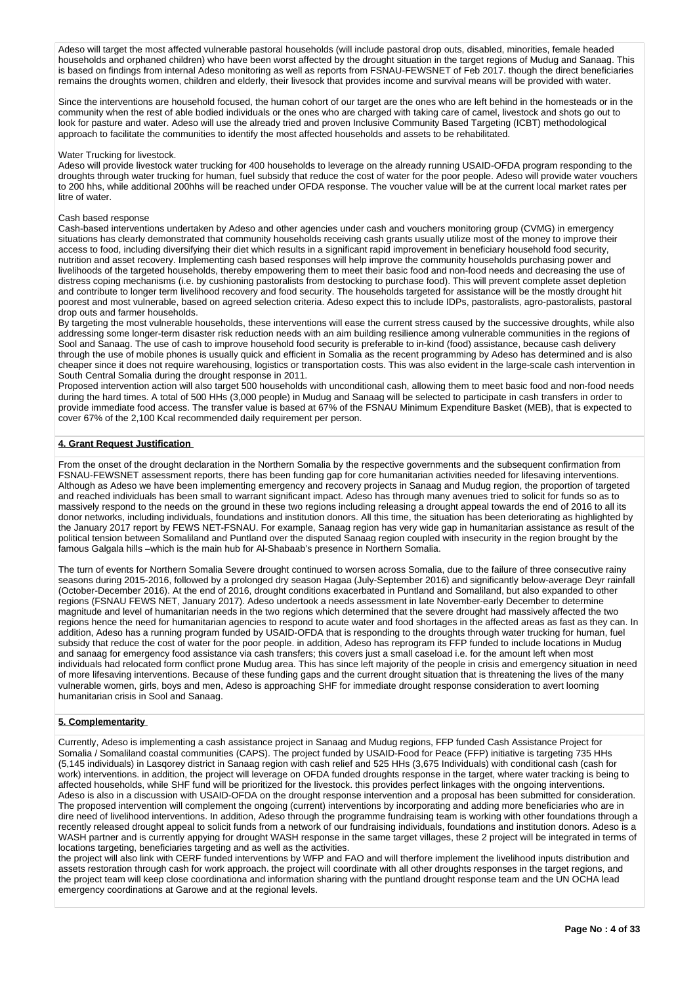Adeso will target the most affected vulnerable pastoral households (will include pastoral drop outs, disabled, minorities, female headed households and orphaned children) who have been worst affected by the drought situation in the target regions of Mudug and Sanaag. This is based on findings from internal Adeso monitoring as well as reports from FSNAU-FEWSNET of Feb 2017. though the direct beneficiaries remains the droughts women, children and elderly, their livesock that provides income and survival means will be provided with water.

Since the interventions are household focused, the human cohort of our target are the ones who are left behind in the homesteads or in the community when the rest of able bodied individuals or the ones who are charged with taking care of camel, livestock and shots go out to look for pasture and water. Adeso will use the already tried and proven Inclusive Community Based Targeting (ICBT) methodological approach to facilitate the communities to identify the most affected households and assets to be rehabilitated.

## Water Trucking for livestock.

Adeso will provide livestock water trucking for 400 households to leverage on the already running USAID-OFDA program responding to the droughts through water trucking for human, fuel subsidy that reduce the cost of water for the poor people. Adeso will provide water vouchers to 200 hhs, while additional 200hhs will be reached under OFDA response. The voucher value will be at the current local market rates per litre of water.

### Cash based response

Cash-based interventions undertaken by Adeso and other agencies under cash and vouchers monitoring group (CVMG) in emergency situations has clearly demonstrated that community households receiving cash grants usually utilize most of the money to improve their access to food, including diversifying their diet which results in a significant rapid improvement in beneficiary household food security, nutrition and asset recovery. Implementing cash based responses will help improve the community households purchasing power and livelihoods of the targeted households, thereby empowering them to meet their basic food and non-food needs and decreasing the use of distress coping mechanisms (i.e. by cushioning pastoralists from destocking to purchase food). This will prevent complete asset depletion and contribute to longer term livelihood recovery and food security. The households targeted for assistance will be the mostly drought hit poorest and most vulnerable, based on agreed selection criteria. Adeso expect this to include IDPs, pastoralists, agro-pastoralists, pastoral drop outs and farmer households.

By targeting the most vulnerable households, these interventions will ease the current stress caused by the successive droughts, while also addressing some longer-term disaster risk reduction needs with an aim building resilience among vulnerable communities in the regions of Sool and Sanaag. The use of cash to improve household food security is preferable to in-kind (food) assistance, because cash delivery through the use of mobile phones is usually quick and efficient in Somalia as the recent programming by Adeso has determined and is also cheaper since it does not require warehousing, logistics or transportation costs. This was also evident in the large-scale cash intervention in South Central Somalia during the drought response in 2011.

Proposed intervention action will also target 500 households with unconditional cash, allowing them to meet basic food and non-food needs during the hard times. A total of 500 HHs (3,000 people) in Mudug and Sanaag will be selected to participate in cash transfers in order to provide immediate food access. The transfer value is based at 67% of the FSNAU Minimum Expenditure Basket (MEB), that is expected to cover 67% of the 2,100 Kcal recommended daily requirement per person.

# **4. Grant Request Justification**

From the onset of the drought declaration in the Northern Somalia by the respective governments and the subsequent confirmation from FSNAU-FEWSNET assessment reports, there has been funding gap for core humanitarian activities needed for lifesaving interventions. Although as Adeso we have been implementing emergency and recovery projects in Sanaag and Mudug region, the proportion of targeted and reached individuals has been small to warrant significant impact. Adeso has through many avenues tried to solicit for funds so as to massively respond to the needs on the ground in these two regions including releasing a drought appeal towards the end of 2016 to all its donor networks, including individuals, foundations and institution donors. All this time, the situation has been deteriorating as highlighted by the January 2017 report by FEWS NET-FSNAU. For example, Sanaag region has very wide gap in humanitarian assistance as result of the political tension between Somaliland and Puntland over the disputed Sanaag region coupled with insecurity in the region brought by the famous Galgala hills –which is the main hub for Al-Shabaab's presence in Northern Somalia.

The turn of events for Northern Somalia Severe drought continued to worsen across Somalia, due to the failure of three consecutive rainy seasons during 2015-2016, followed by a prolonged dry season Hagaa (July-September 2016) and significantly below-average Deyr rainfall (October-December 2016). At the end of 2016, drought conditions exacerbated in Puntland and Somaliland, but also expanded to other regions (FSNAU FEWS NET, January 2017). Adeso undertook a needs assessment in late November-early December to determine magnitude and level of humanitarian needs in the two regions which determined that the severe drought had massively affected the two regions hence the need for humanitarian agencies to respond to acute water and food shortages in the affected areas as fast as they can. In addition, Adeso has a running program funded by USAID-OFDA that is responding to the droughts through water trucking for human, fuel subsidy that reduce the cost of water for the poor people. in addition, Adeso has reprogram its FFP funded to include locations in Mudug and sanaag for emergency food assistance via cash transfers; this covers just a small caseload i.e. for the amount left when most individuals had relocated form conflict prone Mudug area. This has since left majority of the people in crisis and emergency situation in need of more lifesaving interventions. Because of these funding gaps and the current drought situation that is threatening the lives of the many vulnerable women, girls, boys and men, Adeso is approaching SHF for immediate drought response consideration to avert looming humanitarian crisis in Sool and Sanaag.

# **5. Complementarity**

Currently, Adeso is implementing a cash assistance project in Sanaag and Mudug regions, FFP funded Cash Assistance Project for Somalia / Somaliland coastal communities (CAPS). The project funded by USAID-Food for Peace (FFP) initiative is targeting 735 HHs (5,145 individuals) in Lasqorey district in Sanaag region with cash relief and 525 HHs (3,675 Individuals) with conditional cash (cash for work) interventions. in addition, the project will leverage on OFDA funded droughts response in the target, where water tracking is being to affected households, while SHF fund will be prioritized for the livestock. this provides perfect linkages with the ongoing interventions. Adeso is also in a discussion with USAID-OFDA on the drought response intervention and a proposal has been submitted for consideration. The proposed intervention will complement the ongoing (current) interventions by incorporating and adding more beneficiaries who are in dire need of livelihood interventions. In addition, Adeso through the programme fundraising team is working with other foundations through a recently released drought appeal to solicit funds from a network of our fundraising individuals, foundations and institution donors. Adeso is a WASH partner and is currently appying for drought WASH response in the same target villages, these 2 project will be integrated in terms of locations targeting, beneficiaries targeting and as well as the activities.

the project will also link with CERF funded interventions by WFP and FAO and will therfore implement the livelihood inputs distribution and assets restoration through cash for work approach. the project will coordinate with all other droughts responses in the target regions, and the project team will keep close coordinationa and information sharing with the puntland drought response team and the UN OCHA lead emergency coordinations at Garowe and at the regional levels.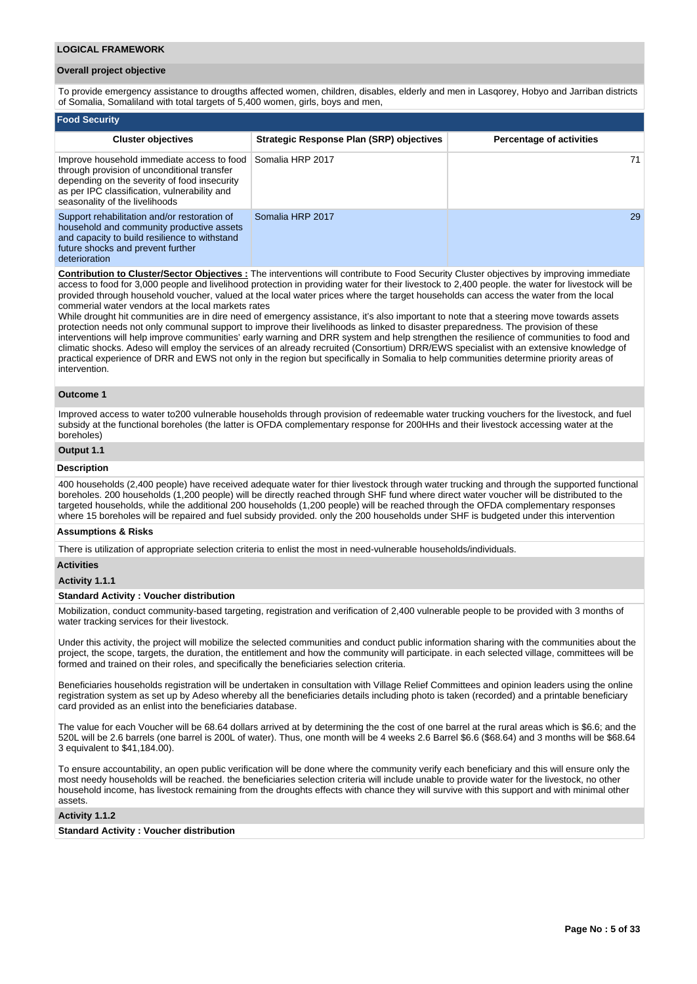### **LOGICAL FRAMEWORK**

### **Overall project objective**

To provide emergency assistance to drougths affected women, children, disables, elderly and men in Lasqorey, Hobyo and Jarriban districts of Somalia, Somaliland with total targets of 5,400 women, girls, boys and men,

| <b>Food Security</b>                                                                                                                                                                                                        |                                                 |                                 |
|-----------------------------------------------------------------------------------------------------------------------------------------------------------------------------------------------------------------------------|-------------------------------------------------|---------------------------------|
| <b>Cluster objectives</b>                                                                                                                                                                                                   | <b>Strategic Response Plan (SRP) objectives</b> | <b>Percentage of activities</b> |
| Improve household immediate access to food<br>through provision of unconditional transfer<br>depending on the severity of food insecurity<br>as per IPC classification, vulnerability and<br>seasonality of the livelihoods | Somalia HRP 2017                                | 71                              |
| Support rehabilitation and/or restoration of<br>household and community productive assets<br>and capacity to build resilience to withstand<br>future shocks and prevent further                                             | Somalia HRP 2017                                | 29                              |

## deterioration

**Contribution to Cluster/Sector Objectives :** The interventions will contribute to Food Security Cluster objectives by improving immediate access to food for 3,000 people and livelihood protection in providing water for their livestock to 2,400 people. the water for livestock will be provided through household voucher, valued at the local water prices where the target households can access the water from the local commerial water vendors at the local markets rates

While drought hit communities are in dire need of emergency assistance, it's also important to note that a steering move towards assets protection needs not only communal support to improve their livelihoods as linked to disaster preparedness. The provision of these interventions will help improve communities' early warning and DRR system and help strengthen the resilience of communities to food and climatic shocks. Adeso will employ the services of an already recruited (Consortium) DRR/EWS specialist with an extensive knowledge of practical experience of DRR and EWS not only in the region but specifically in Somalia to help communities determine priority areas of intervention.

### **Outcome 1**

Improved access to water to200 vulnerable households through provision of redeemable water trucking vouchers for the livestock, and fuel subsidy at the functional boreholes (the latter is OFDA complementary response for 200HHs and their livestock accessing water at the boreholes)

# **Output 1.1**

### **Description**

400 households (2,400 people) have received adequate water for thier livestock through water trucking and through the supported functional boreholes. 200 households (1,200 people) will be directly reached through SHF fund where direct water voucher will be distributed to the targeted households, while the additional 200 households (1,200 people) will be reached through the OFDA complementary responses where 15 boreholes will be repaired and fuel subsidy provided. only the 200 households under SHF is budgeted under this intervention

### **Assumptions & Risks**

There is utilization of appropriate selection criteria to enlist the most in need-vulnerable households/individuals.

### **Activities**

### **Activity 1.1.1**

### **Standard Activity : Voucher distribution**

Mobilization, conduct community-based targeting, registration and verification of 2,400 vulnerable people to be provided with 3 months of water tracking services for their livestock.

Under this activity, the project will mobilize the selected communities and conduct public information sharing with the communities about the project, the scope, targets, the duration, the entitlement and how the community will participate. in each selected village, committees will be formed and trained on their roles, and specifically the beneficiaries selection criteria.

Beneficiaries households registration will be undertaken in consultation with Village Relief Committees and opinion leaders using the online registration system as set up by Adeso whereby all the beneficiaries details including photo is taken (recorded) and a printable beneficiary card provided as an enlist into the beneficiaries database.

The value for each Voucher will be 68.64 dollars arrived at by determining the the cost of one barrel at the rural areas which is \$6.6; and the 520L will be 2.6 barrels (one barrel is 200L of water). Thus, one month will be 4 weeks 2.6 Barrel \$6.6 (\$68.64) and 3 months will be \$68.64 3 equivalent to \$41,184.00).

To ensure accountability, an open public verification will be done where the community verify each beneficiary and this will ensure only the most needy households will be reached. the beneficiaries selection criteria will include unable to provide water for the livestock, no other household income, has livestock remaining from the droughts effects with chance they will survive with this support and with minimal other assets.

### **Activity 1.1.2**

### **Standard Activity : Voucher distribution**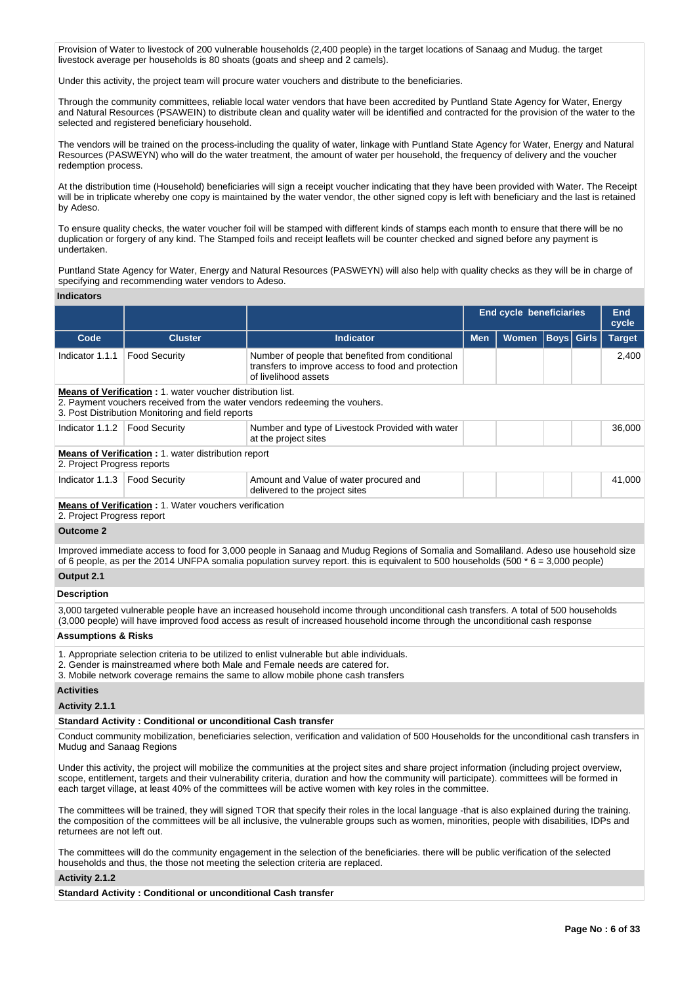Provision of Water to livestock of 200 vulnerable households (2,400 people) in the target locations of Sanaag and Mudug. the target livestock average per households is 80 shoats (goats and sheep and 2 camels).

Under this activity, the project team will procure water vouchers and distribute to the beneficiaries.

Through the community committees, reliable local water vendors that have been accredited by Puntland State Agency for Water, Energy and Natural Resources (PSAWEIN) to distribute clean and quality water will be identified and contracted for the provision of the water to the selected and registered beneficiary household.

The vendors will be trained on the process-including the quality of water, linkage with Puntland State Agency for Water, Energy and Natural Resources (PASWEYN) who will do the water treatment, the amount of water per household, the frequency of delivery and the voucher redemption process.

At the distribution time (Household) beneficiaries will sign a receipt voucher indicating that they have been provided with Water. The Receipt will be in triplicate whereby one copy is maintained by the water vendor, the other signed copy is left with beneficiary and the last is retained by Adeso.

To ensure quality checks, the water voucher foil will be stamped with different kinds of stamps each month to ensure that there will be no duplication or forgery of any kind. The Stamped foils and receipt leaflets will be counter checked and signed before any payment is undertaken.

Puntland State Agency for Water, Energy and Natural Resources (PASWEYN) will also help with quality checks as they will be in charge of specifying and recommending water vendors to Adeso.

### **Indicators**

|                                                                                           |                                                                                                                        |                                                                                                                                |            | <b>End cycle beneficiaries</b> |                   |  | <b>End</b><br>cycle |
|-------------------------------------------------------------------------------------------|------------------------------------------------------------------------------------------------------------------------|--------------------------------------------------------------------------------------------------------------------------------|------------|--------------------------------|-------------------|--|---------------------|
| Code                                                                                      | <b>Cluster</b>                                                                                                         | <b>Indicator</b>                                                                                                               | <b>Men</b> | <b>Women</b>                   | <b>Boys Girls</b> |  | <b>Target</b>       |
| Indicator 1.1.1                                                                           | <b>Food Security</b>                                                                                                   | Number of people that benefited from conditional<br>transfers to improve access to food and protection<br>of livelihood assets |            |                                |                   |  | 2.400               |
|                                                                                           | <b>Means of Verification: 1. water voucher distribution list.</b><br>3. Post Distribution Monitoring and field reports | 2. Payment vouchers received from the water vendors redeeming the vouhers.                                                     |            |                                |                   |  |                     |
| Indicator 1.1.2                                                                           | <b>Food Security</b>                                                                                                   | Number and type of Livestock Provided with water<br>at the project sites                                                       |            |                                |                   |  | 36,000              |
| <b>Means of Verification: 1. water distribution report</b><br>2. Project Progress reports |                                                                                                                        |                                                                                                                                |            |                                |                   |  |                     |
| Indicator 1.1.3                                                                           | <b>Food Security</b>                                                                                                   | Amount and Value of water procured and<br>delivered to the project sites                                                       |            |                                |                   |  |                     |
|                                                                                           | Means of Verification 1 Water vouchers verification                                                                    |                                                                                                                                |            |                                |                   |  |                     |

**Means of Verification :** 1. Water vouchers verification

2. Project Progress report

# **Outcome 2**

Improved immediate access to food for 3,000 people in Sanaag and Mudug Regions of Somalia and Somaliland. Adeso use household size of 6 people, as per the 2014 UNFPA somalia population survey report. this is equivalent to 500 households (500  $*$  6 = 3,000 people) **Output 2.1**

# **Description**

3,000 targeted vulnerable people have an increased household income through unconditional cash transfers. A total of 500 households (3,000 people) will have improved food access as result of increased household income through the unconditional cash response

### **Assumptions & Risks**

1. Appropriate selection criteria to be utilized to enlist vulnerable but able individuals.

2. Gender is mainstreamed where both Male and Female needs are catered for.

3. Mobile network coverage remains the same to allow mobile phone cash transfers

## **Activities**

### **Activity 2.1.1**

# **Standard Activity : Conditional or unconditional Cash transfer**

Conduct community mobilization, beneficiaries selection, verification and validation of 500 Households for the unconditional cash transfers in Mudug and Sanaag Regions

Under this activity, the project will mobilize the communities at the project sites and share project information (including project overview, scope, entitlement, targets and their vulnerability criteria, duration and how the community will participate). committees will be formed in each target village, at least 40% of the committees will be active women with key roles in the committee.

The committees will be trained, they will signed TOR that specify their roles in the local language -that is also explained during the training. the composition of the committees will be all inclusive, the vulnerable groups such as women, minorities, people with disabilities, IDPs and returnees are not left out.

The committees will do the community engagement in the selection of the beneficiaries. there will be public verification of the selected households and thus, the those not meeting the selection criteria are replaced.

## **Activity 2.1.2**

**Standard Activity : Conditional or unconditional Cash transfer**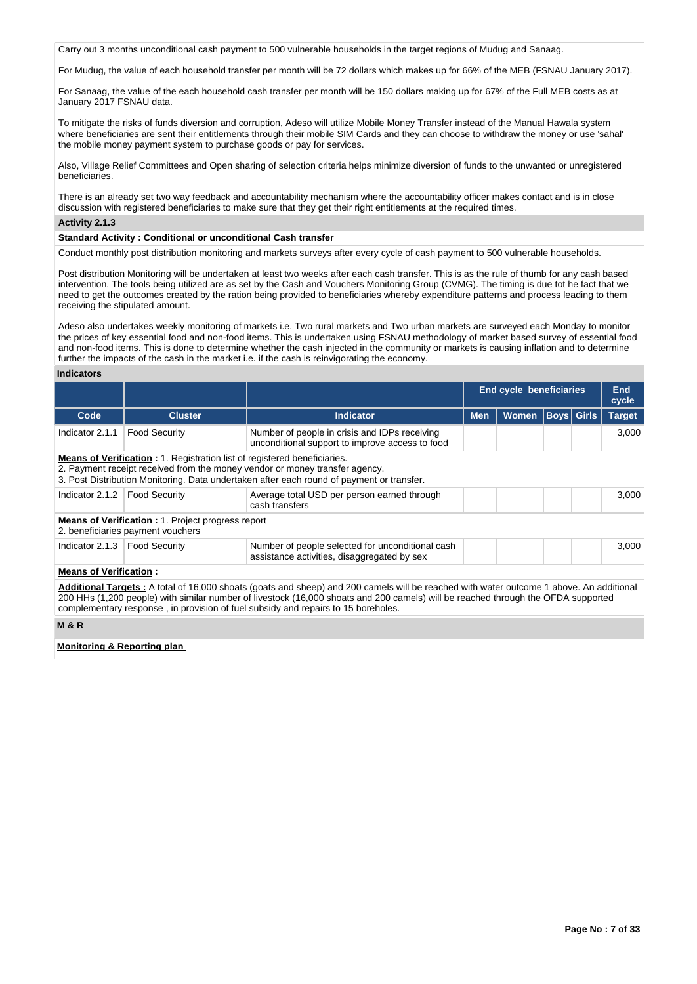Carry out 3 months unconditional cash payment to 500 vulnerable households in the target regions of Mudug and Sanaag.

For Mudug, the value of each household transfer per month will be 72 dollars which makes up for 66% of the MEB (FSNAU January 2017).

For Sanaag, the value of the each household cash transfer per month will be 150 dollars making up for 67% of the Full MEB costs as at January 2017 FSNAU data.

To mitigate the risks of funds diversion and corruption, Adeso will utilize Mobile Money Transfer instead of the Manual Hawala system where beneficiaries are sent their entitlements through their mobile SIM Cards and they can choose to withdraw the money or use 'sahal' the mobile money payment system to purchase goods or pay for services.

Also, Village Relief Committees and Open sharing of selection criteria helps minimize diversion of funds to the unwanted or unregistered beneficiaries.

There is an already set two way feedback and accountability mechanism where the accountability officer makes contact and is in close discussion with registered beneficiaries to make sure that they get their right entitlements at the required times.

# **Activity 2.1.3**

## **Standard Activity : Conditional or unconditional Cash transfer**

Conduct monthly post distribution monitoring and markets surveys after every cycle of cash payment to 500 vulnerable households.

Post distribution Monitoring will be undertaken at least two weeks after each cash transfer. This is as the rule of thumb for any cash based intervention. The tools being utilized are as set by the Cash and Vouchers Monitoring Group (CVMG). The timing is due tot he fact that we need to get the outcomes created by the ration being provided to beneficiaries whereby expenditure patterns and process leading to them receiving the stipulated amount.

Adeso also undertakes weekly monitoring of markets i.e. Two rural markets and Two urban markets are surveyed each Monday to monitor the prices of key essential food and non-food items. This is undertaken using FSNAU methodology of market based survey of essential food and non-food items. This is done to determine whether the cash injected in the community or markets is causing inflation and to determine further the impacts of the cash in the market i.e. if the cash is reinvigorating the economy.

### **Indicators**

|                                        |                                                                                               |                                                                                                                                                                                                                                                                                                                                                                           |            | <b>End cycle beneficiaries</b> |                   | End<br>cycle  |
|----------------------------------------|-----------------------------------------------------------------------------------------------|---------------------------------------------------------------------------------------------------------------------------------------------------------------------------------------------------------------------------------------------------------------------------------------------------------------------------------------------------------------------------|------------|--------------------------------|-------------------|---------------|
| Code                                   | <b>Cluster</b>                                                                                | Indicator                                                                                                                                                                                                                                                                                                                                                                 | <b>Men</b> | <b>Women</b>                   | <b>Boys Girls</b> | <b>Target</b> |
| Indicator 2.1.1                        | <b>Food Security</b>                                                                          | Number of people in crisis and IDPs receiving<br>unconditional support to improve access to food                                                                                                                                                                                                                                                                          |            |                                |                   | 3,000         |
|                                        | <b>Means of Verification:</b> 1. Registration list of registered beneficiaries.               | 2. Payment receipt received from the money vendor or money transfer agency.<br>3. Post Distribution Monitoring. Data undertaken after each round of payment or transfer.                                                                                                                                                                                                  |            |                                |                   |               |
| Indicator 2.1.2                        | <b>Food Security</b>                                                                          | Average total USD per person earned through<br>cash transfers                                                                                                                                                                                                                                                                                                             |            |                                |                   | 3,000         |
|                                        | <b>Means of Verification:</b> 1. Project progress report<br>2. beneficiaries payment vouchers |                                                                                                                                                                                                                                                                                                                                                                           |            |                                |                   |               |
| Indicator 2.1.3                        | Food Security                                                                                 | Number of people selected for unconditional cash<br>assistance activities, disaggregated by sex                                                                                                                                                                                                                                                                           |            |                                |                   | 3,000         |
| <b>Means of Verification:</b>          |                                                                                               |                                                                                                                                                                                                                                                                                                                                                                           |            |                                |                   |               |
|                                        |                                                                                               | <b>Additional Targets</b> : A total of 16,000 shoats (goats and sheep) and 200 camels will be reached with water outcome 1 above. An additional<br>200 HHs (1,200 people) with similar number of livestock (16,000 shoats and 200 camels) will be reached through the OFDA supported<br>complementary response, in provision of fuel subsidy and repairs to 15 boreholes. |            |                                |                   |               |
| <b>M&amp;R</b>                         |                                                                                               |                                                                                                                                                                                                                                                                                                                                                                           |            |                                |                   |               |
| <b>Monitoring &amp; Reporting plan</b> |                                                                                               |                                                                                                                                                                                                                                                                                                                                                                           |            |                                |                   |               |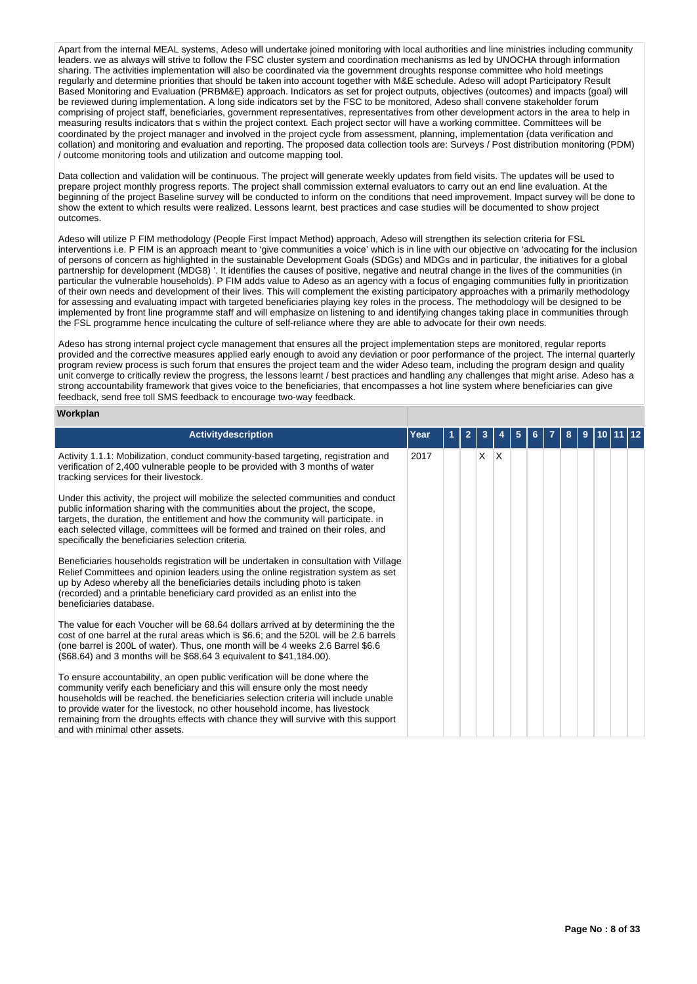Apart from the internal MEAL systems, Adeso will undertake joined monitoring with local authorities and line ministries including community leaders. we as always will strive to follow the FSC cluster system and coordination mechanisms as led by UNOCHA through information sharing. The activities implementation will also be coordinated via the government droughts response committee who hold meetings regularly and determine priorities that should be taken into account together with M&E schedule. Adeso will adopt Participatory Result Based Monitoring and Evaluation (PRBM&E) approach. Indicators as set for project outputs, objectives (outcomes) and impacts (goal) will be reviewed during implementation. A long side indicators set by the FSC to be monitored, Adeso shall convene stakeholder forum comprising of project staff, beneficiaries, government representatives, representatives from other development actors in the area to help in measuring results indicators that s within the project context. Each project sector will have a working committee. Committees will be coordinated by the project manager and involved in the project cycle from assessment, planning, implementation (data verification and collation) and monitoring and evaluation and reporting. The proposed data collection tools are: Surveys / Post distribution monitoring (PDM) / outcome monitoring tools and utilization and outcome mapping tool.

Data collection and validation will be continuous. The project will generate weekly updates from field visits. The updates will be used to prepare project monthly progress reports. The project shall commission external evaluators to carry out an end line evaluation. At the beginning of the project Baseline survey will be conducted to inform on the conditions that need improvement. Impact survey will be done to show the extent to which results were realized. Lessons learnt, best practices and case studies will be documented to show project outcomes.

Adeso will utilize P FIM methodology (People First Impact Method) approach, Adeso will strengthen its selection criteria for FSL interventions i.e. P FIM is an approach meant to 'give communities a voice' which is in line with our objective on 'advocating for the inclusion of persons of concern as highlighted in the sustainable Development Goals (SDGs) and MDGs and in particular, the initiatives for a global partnership for development (MDG8) '. It identifies the causes of positive, negative and neutral change in the lives of the communities (in particular the vulnerable households). P FIM adds value to Adeso as an agency with a focus of engaging communities fully in prioritization of their own needs and development of their lives. This will complement the existing participatory approaches with a primarily methodology for assessing and evaluating impact with targeted beneficiaries playing key roles in the process. The methodology will be designed to be implemented by front line programme staff and will emphasize on listening to and identifying changes taking place in communities through the FSL programme hence inculcating the culture of self-reliance where they are able to advocate for their own needs.

Adeso has strong internal project cycle management that ensures all the project implementation steps are monitored, regular reports provided and the corrective measures applied early enough to avoid any deviation or poor performance of the project. The internal quarterly program review process is such forum that ensures the project team and the wider Adeso team, including the program design and quality unit converge to critically review the progress, the lessons learnt / best practices and handling any challenges that might arise. Adeso has a strong accountability framework that gives voice to the beneficiaries, that encompasses a hot line system where beneficiaries can give feedback, send free toll SMS feedback to encourage two-way feedback.

# **Workplan**

| <b>Activitydescription</b>                                                                                                                                                                                                                                                                                                                                                                                                                                  | Year | 2 | з  |    | 5 |  | 8 | 9 |  |  |
|-------------------------------------------------------------------------------------------------------------------------------------------------------------------------------------------------------------------------------------------------------------------------------------------------------------------------------------------------------------------------------------------------------------------------------------------------------------|------|---|----|----|---|--|---|---|--|--|
| Activity 1.1.1: Mobilization, conduct community-based targeting, registration and<br>verification of 2,400 vulnerable people to be provided with 3 months of water<br>tracking services for their livestock.                                                                                                                                                                                                                                                | 2017 |   | X. | ΙX |   |  |   |   |  |  |
| Under this activity, the project will mobilize the selected communities and conduct<br>public information sharing with the communities about the project, the scope,<br>targets, the duration, the entitlement and how the community will participate. in<br>each selected village, committees will be formed and trained on their roles, and<br>specifically the beneficiaries selection criteria.                                                         |      |   |    |    |   |  |   |   |  |  |
| Beneficiaries households registration will be undertaken in consultation with Village<br>Relief Committees and opinion leaders using the online registration system as set<br>up by Adeso whereby all the beneficiaries details including photo is taken<br>(recorded) and a printable beneficiary card provided as an enlist into the<br>beneficiaries database.                                                                                           |      |   |    |    |   |  |   |   |  |  |
| The value for each Voucher will be 68.64 dollars arrived at by determining the the<br>cost of one barrel at the rural areas which is \$6.6; and the 520L will be 2.6 barrels<br>(one barrel is 200L of water). Thus, one month will be 4 weeks 2.6 Barrel \$6.6<br>(\$68.64) and 3 months will be \$68.64 3 equivalent to \$41,184.00).                                                                                                                     |      |   |    |    |   |  |   |   |  |  |
| To ensure accountability, an open public verification will be done where the<br>community verify each beneficiary and this will ensure only the most needy<br>households will be reached, the beneficiaries selection criteria will include unable<br>to provide water for the livestock, no other household income, has livestock<br>remaining from the droughts effects with chance they will survive with this support<br>and with minimal other assets. |      |   |    |    |   |  |   |   |  |  |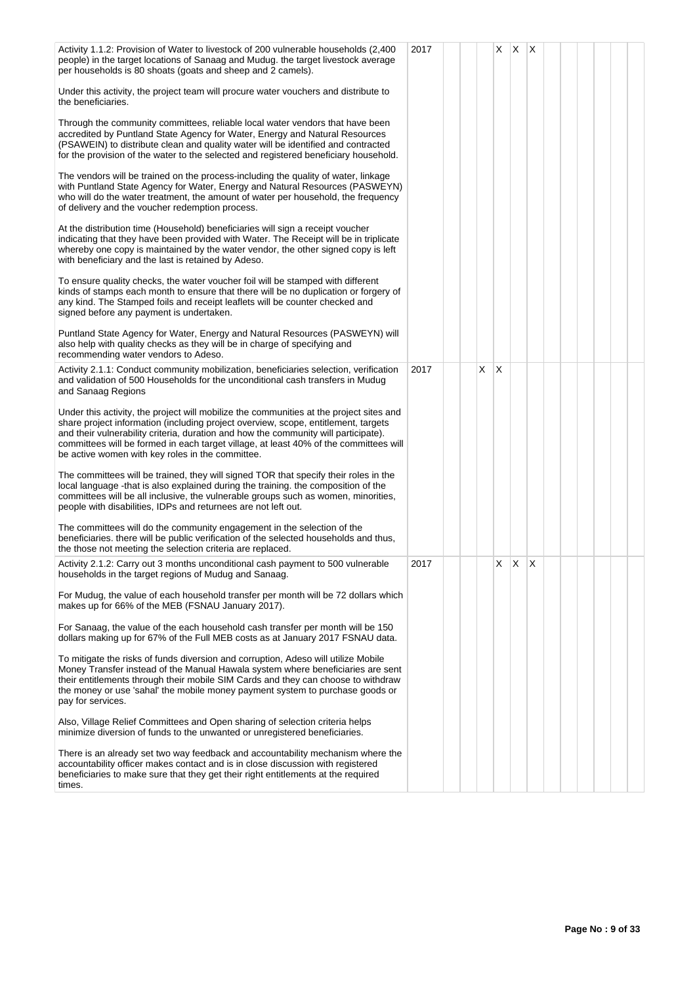| Activity 1.1.2: Provision of Water to livestock of 200 vulnerable households (2.400<br>people) in the target locations of Sanaag and Mudug. the target livestock average<br>per households is 80 shoats (goats and sheep and 2 camels).                                                                                                                                                                           | 2017 |    | X            | ΙX. | $\mathsf{X}$ |  |  |  |
|-------------------------------------------------------------------------------------------------------------------------------------------------------------------------------------------------------------------------------------------------------------------------------------------------------------------------------------------------------------------------------------------------------------------|------|----|--------------|-----|--------------|--|--|--|
| Under this activity, the project team will procure water vouchers and distribute to<br>the beneficiaries.                                                                                                                                                                                                                                                                                                         |      |    |              |     |              |  |  |  |
| Through the community committees, reliable local water vendors that have been<br>accredited by Puntland State Agency for Water, Energy and Natural Resources<br>(PSAWEIN) to distribute clean and quality water will be identified and contracted<br>for the provision of the water to the selected and registered beneficiary household.                                                                         |      |    |              |     |              |  |  |  |
| The vendors will be trained on the process-including the quality of water, linkage<br>with Puntland State Agency for Water, Energy and Natural Resources (PASWEYN)<br>who will do the water treatment, the amount of water per household, the frequency<br>of delivery and the voucher redemption process.                                                                                                        |      |    |              |     |              |  |  |  |
| At the distribution time (Household) beneficiaries will sign a receipt voucher<br>indicating that they have been provided with Water. The Receipt will be in triplicate<br>whereby one copy is maintained by the water vendor, the other signed copy is left<br>with beneficiary and the last is retained by Adeso.                                                                                               |      |    |              |     |              |  |  |  |
| To ensure quality checks, the water voucher foil will be stamped with different<br>kinds of stamps each month to ensure that there will be no duplication or forgery of<br>any kind. The Stamped foils and receipt leaflets will be counter checked and<br>signed before any payment is undertaken.                                                                                                               |      |    |              |     |              |  |  |  |
| Puntland State Agency for Water, Energy and Natural Resources (PASWEYN) will<br>also help with quality checks as they will be in charge of specifying and<br>recommending water vendors to Adeso.                                                                                                                                                                                                                 |      |    |              |     |              |  |  |  |
| Activity 2.1.1: Conduct community mobilization, beneficiaries selection, verification<br>and validation of 500 Households for the unconditional cash transfers in Muduq<br>and Sanaag Regions                                                                                                                                                                                                                     | 2017 | X. | $\mathsf{X}$ |     |              |  |  |  |
| Under this activity, the project will mobilize the communities at the project sites and<br>share project information (including project overview, scope, entitlement, targets<br>and their vulnerability criteria, duration and how the community will participate).<br>committees will be formed in each target village, at least 40% of the committees will<br>be active women with key roles in the committee. |      |    |              |     |              |  |  |  |
| The committees will be trained, they will signed TOR that specify their roles in the<br>local language -that is also explained during the training. the composition of the<br>committees will be all inclusive, the vulnerable groups such as women, minorities,<br>people with disabilities, IDPs and returnees are not left out.                                                                                |      |    |              |     |              |  |  |  |
| The committees will do the community engagement in the selection of the<br>beneficiaries, there will be public verification of the selected households and thus,<br>the those not meeting the selection criteria are replaced.                                                                                                                                                                                    |      |    |              |     |              |  |  |  |
| Activity 2.1.2: Carry out 3 months unconditional cash payment to 500 vulnerable<br>households in the target regions of Mudug and Sanaag.                                                                                                                                                                                                                                                                          | 2017 |    | X            | X   | X            |  |  |  |
| For Mudug, the value of each household transfer per month will be 72 dollars which<br>makes up for 66% of the MEB (FSNAU January 2017).                                                                                                                                                                                                                                                                           |      |    |              |     |              |  |  |  |
| For Sanaag, the value of the each household cash transfer per month will be 150<br>dollars making up for 67% of the Full MEB costs as at January 2017 FSNAU data.                                                                                                                                                                                                                                                 |      |    |              |     |              |  |  |  |
| To mitigate the risks of funds diversion and corruption, Adeso will utilize Mobile<br>Money Transfer instead of the Manual Hawala system where beneficiaries are sent<br>their entitlements through their mobile SIM Cards and they can choose to withdraw<br>the money or use 'sahal' the mobile money payment system to purchase goods or<br>pay for services.                                                  |      |    |              |     |              |  |  |  |
| Also, Village Relief Committees and Open sharing of selection criteria helps<br>minimize diversion of funds to the unwanted or unregistered beneficiaries.                                                                                                                                                                                                                                                        |      |    |              |     |              |  |  |  |
| There is an already set two way feedback and accountability mechanism where the<br>accountability officer makes contact and is in close discussion with registered<br>beneficiaries to make sure that they get their right entitlements at the required<br>times.                                                                                                                                                 |      |    |              |     |              |  |  |  |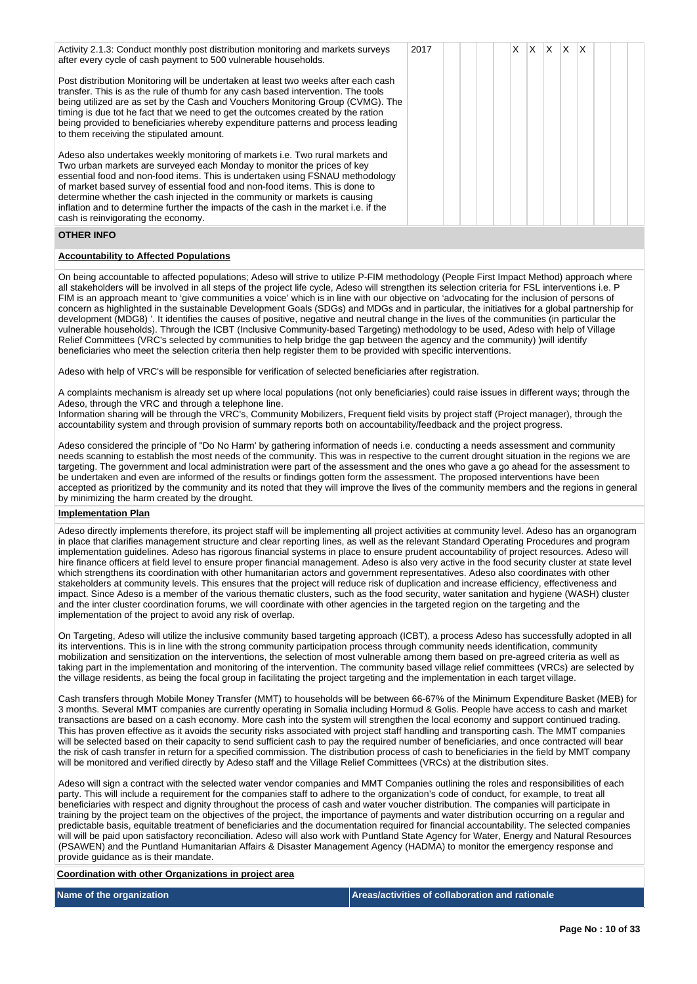| Activity 2.1.3: Conduct monthly post distribution monitoring and markets surveys<br>after every cycle of cash payment to 500 vulnerable households.                                                                                                                                                                                                                                                                                                                                                                                    | 2017 |  | $\times$ | XX | $\mathsf{X}$ $\mathsf{X}$ |  |  |
|----------------------------------------------------------------------------------------------------------------------------------------------------------------------------------------------------------------------------------------------------------------------------------------------------------------------------------------------------------------------------------------------------------------------------------------------------------------------------------------------------------------------------------------|------|--|----------|----|---------------------------|--|--|
| Post distribution Monitoring will be undertaken at least two weeks after each cash<br>transfer. This is as the rule of thumb for any cash based intervention. The tools<br>being utilized are as set by the Cash and Vouchers Monitoring Group (CVMG). The<br>timing is due tot he fact that we need to get the outcomes created by the ration<br>being provided to beneficiaries whereby expenditure patterns and process leading<br>to them receiving the stipulated amount.                                                         |      |  |          |    |                           |  |  |
| Adeso also undertakes weekly monitoring of markets i.e. Two rural markets and<br>Two urban markets are surveyed each Monday to monitor the prices of key<br>essential food and non-food items. This is undertaken using FSNAU methodology<br>of market based survey of essential food and non-food items. This is done to<br>determine whether the cash injected in the community or markets is causing<br>inflation and to determine further the impacts of the cash in the market i.e. if the<br>cash is reinvigorating the economy. |      |  |          |    |                           |  |  |

## **OTHER INFO**

### **Accountability to Affected Populations**

On being accountable to affected populations; Adeso will strive to utilize P-FIM methodology (People First Impact Method) approach where all stakeholders will be involved in all steps of the project life cycle, Adeso will strengthen its selection criteria for FSL interventions i.e. P FIM is an approach meant to 'give communities a voice' which is in line with our objective on 'advocating for the inclusion of persons of concern as highlighted in the sustainable Development Goals (SDGs) and MDGs and in particular, the initiatives for a global partnership for development (MDG8) '. It identifies the causes of positive, negative and neutral change in the lives of the communities (in particular the vulnerable households). Through the ICBT (Inclusive Community-based Targeting) methodology to be used, Adeso with help of Village Relief Committees (VRC's selected by communities to help bridge the gap between the agency and the community) )will identify beneficiaries who meet the selection criteria then help register them to be provided with specific interventions.

Adeso with help of VRC's will be responsible for verification of selected beneficiaries after registration.

A complaints mechanism is already set up where local populations (not only beneficiaries) could raise issues in different ways; through the Adeso, through the VRC and through a telephone line.

Information sharing will be through the VRC's, Community Mobilizers, Frequent field visits by project staff (Project manager), through the accountability system and through provision of summary reports both on accountability/feedback and the project progress.

Adeso considered the principle of "Do No Harm' by gathering information of needs i.e. conducting a needs assessment and community needs scanning to establish the most needs of the community. This was in respective to the current drought situation in the regions we are targeting. The government and local administration were part of the assessment and the ones who gave a go ahead for the assessment to be undertaken and even are informed of the results or findings gotten form the assessment. The proposed interventions have been accepted as prioritized by the community and its noted that they will improve the lives of the community members and the regions in general by minimizing the harm created by the drought.

## **Implementation Plan**

Adeso directly implements therefore, its project staff will be implementing all project activities at community level. Adeso has an organogram in place that clarifies management structure and clear reporting lines, as well as the relevant Standard Operating Procedures and program implementation guidelines. Adeso has rigorous financial systems in place to ensure prudent accountability of project resources. Adeso will hire finance officers at field level to ensure proper financial management. Adeso is also very active in the food security cluster at state level which strengthens its coordination with other humanitarian actors and government representatives. Adeso also coordinates with other stakeholders at community levels. This ensures that the project will reduce risk of duplication and increase efficiency, effectiveness and impact. Since Adeso is a member of the various thematic clusters, such as the food security, water sanitation and hygiene (WASH) cluster and the inter cluster coordination forums, we will coordinate with other agencies in the targeted region on the targeting and the implementation of the project to avoid any risk of overlap.

On Targeting, Adeso will utilize the inclusive community based targeting approach (ICBT), a process Adeso has successfully adopted in all its interventions. This is in line with the strong community participation process through community needs identification, community mobilization and sensitization on the interventions, the selection of most vulnerable among them based on pre-agreed criteria as well as taking part in the implementation and monitoring of the intervention. The community based village relief committees (VRCs) are selected by the village residents, as being the focal group in facilitating the project targeting and the implementation in each target village.

Cash transfers through Mobile Money Transfer (MMT) to households will be between 66-67% of the Minimum Expenditure Basket (MEB) for 3 months. Several MMT companies are currently operating in Somalia including Hormud & Golis. People have access to cash and market transactions are based on a cash economy. More cash into the system will strengthen the local economy and support continued trading. This has proven effective as it avoids the security risks associated with project staff handling and transporting cash. The MMT companies will be selected based on their capacity to send sufficient cash to pay the required number of beneficiaries, and once contracted will bear the risk of cash transfer in return for a specified commission. The distribution process of cash to beneficiaries in the field by MMT company will be monitored and verified directly by Adeso staff and the Village Relief Committees (VRCs) at the distribution sites.

Adeso will sign a contract with the selected water vendor companies and MMT Companies outlining the roles and responsibilities of each party. This will include a requirement for the companies staff to adhere to the organization's code of conduct, for example, to treat all beneficiaries with respect and dignity throughout the process of cash and water voucher distribution. The companies will participate in training by the project team on the objectives of the project, the importance of payments and water distribution occurring on a regular and predictable basis, equitable treatment of beneficiaries and the documentation required for financial accountability. The selected companies will will be paid upon satisfactory reconciliation. Adeso will also work with Puntland State Agency for Water, Energy and Natural Resources (PSAWEN) and the Puntland Humanitarian Affairs & Disaster Management Agency (HADMA) to monitor the emergency response and provide guidance as is their mandate.

### **Coordination with other Organizations in project area**

## **Name of the organization Areas/activities of collaboration and rationale**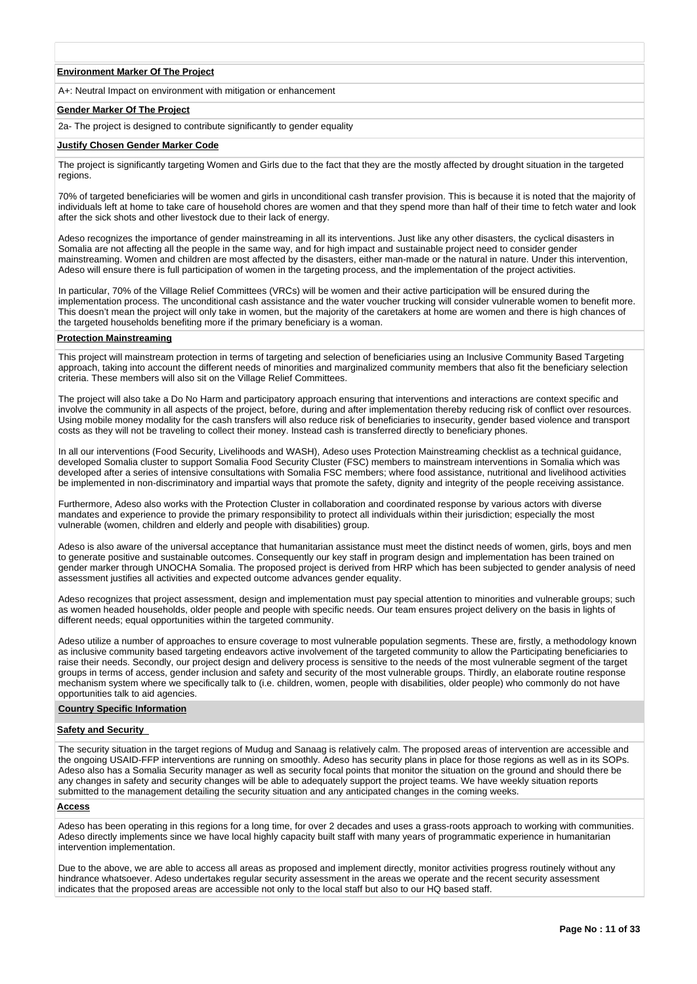### **Environment Marker Of The Project**

A+: Neutral Impact on environment with mitigation or enhancement

### **Gender Marker Of The Project**

2a- The project is designed to contribute significantly to gender equality

### **Justify Chosen Gender Marker Code**

The project is significantly targeting Women and Girls due to the fact that they are the mostly affected by drought situation in the targeted regions.

70% of targeted beneficiaries will be women and girls in unconditional cash transfer provision. This is because it is noted that the majority of individuals left at home to take care of household chores are women and that they spend more than half of their time to fetch water and look after the sick shots and other livestock due to their lack of energy.

Adeso recognizes the importance of gender mainstreaming in all its interventions. Just like any other disasters, the cyclical disasters in Somalia are not affecting all the people in the same way, and for high impact and sustainable project need to consider gender mainstreaming. Women and children are most affected by the disasters, either man-made or the natural in nature. Under this intervention, Adeso will ensure there is full participation of women in the targeting process, and the implementation of the project activities.

In particular, 70% of the Village Relief Committees (VRCs) will be women and their active participation will be ensured during the implementation process. The unconditional cash assistance and the water voucher trucking will consider vulnerable women to benefit more. This doesn't mean the project will only take in women, but the majority of the caretakers at home are women and there is high chances of the targeted households benefiting more if the primary beneficiary is a woman.

# **Protection Mainstreaming**

This project will mainstream protection in terms of targeting and selection of beneficiaries using an Inclusive Community Based Targeting approach, taking into account the different needs of minorities and marginalized community members that also fit the beneficiary selection criteria. These members will also sit on the Village Relief Committees.

The project will also take a Do No Harm and participatory approach ensuring that interventions and interactions are context specific and involve the community in all aspects of the project, before, during and after implementation thereby reducing risk of conflict over resources. Using mobile money modality for the cash transfers will also reduce risk of beneficiaries to insecurity, gender based violence and transport costs as they will not be traveling to collect their money. Instead cash is transferred directly to beneficiary phones.

In all our interventions (Food Security, Livelihoods and WASH), Adeso uses Protection Mainstreaming checklist as a technical guidance, developed Somalia cluster to support Somalia Food Security Cluster (FSC) members to mainstream interventions in Somalia which was developed after a series of intensive consultations with Somalia FSC members; where food assistance, nutritional and livelihood activities be implemented in non-discriminatory and impartial ways that promote the safety, dignity and integrity of the people receiving assistance.

Furthermore, Adeso also works with the Protection Cluster in collaboration and coordinated response by various actors with diverse mandates and experience to provide the primary responsibility to protect all individuals within their jurisdiction; especially the most vulnerable (women, children and elderly and people with disabilities) group.

Adeso is also aware of the universal acceptance that humanitarian assistance must meet the distinct needs of women, girls, boys and men to generate positive and sustainable outcomes. Consequently our key staff in program design and implementation has been trained on gender marker through UNOCHA Somalia. The proposed project is derived from HRP which has been subjected to gender analysis of need assessment justifies all activities and expected outcome advances gender equality.

Adeso recognizes that project assessment, design and implementation must pay special attention to minorities and vulnerable groups; such as women headed households, older people and people with specific needs. Our team ensures project delivery on the basis in lights of different needs; equal opportunities within the targeted community.

Adeso utilize a number of approaches to ensure coverage to most vulnerable population segments. These are, firstly, a methodology known as inclusive community based targeting endeavors active involvement of the targeted community to allow the Participating beneficiaries to raise their needs. Secondly, our project design and delivery process is sensitive to the needs of the most vulnerable segment of the target groups in terms of access, gender inclusion and safety and security of the most vulnerable groups. Thirdly, an elaborate routine response mechanism system where we specifically talk to (i.e. children, women, people with disabilities, older people) who commonly do not have opportunities talk to aid agencies.

## **Country Specific Information**

### **Safety and Security**

The security situation in the target regions of Mudug and Sanaag is relatively calm. The proposed areas of intervention are accessible and the ongoing USAID-FFP interventions are running on smoothly. Adeso has security plans in place for those regions as well as in its SOPs. Adeso also has a Somalia Security manager as well as security focal points that monitor the situation on the ground and should there be any changes in safety and security changes will be able to adequately support the project teams. We have weekly situation reports submitted to the management detailing the security situation and any anticipated changes in the coming weeks.

## **Access**

Adeso has been operating in this regions for a long time, for over 2 decades and uses a grass-roots approach to working with communities. Adeso directly implements since we have local highly capacity built staff with many years of programmatic experience in humanitarian intervention implementation.

Due to the above, we are able to access all areas as proposed and implement directly, monitor activities progress routinely without any hindrance whatsoever. Adeso undertakes regular security assessment in the areas we operate and the recent security assessment indicates that the proposed areas are accessible not only to the local staff but also to our HQ based staff.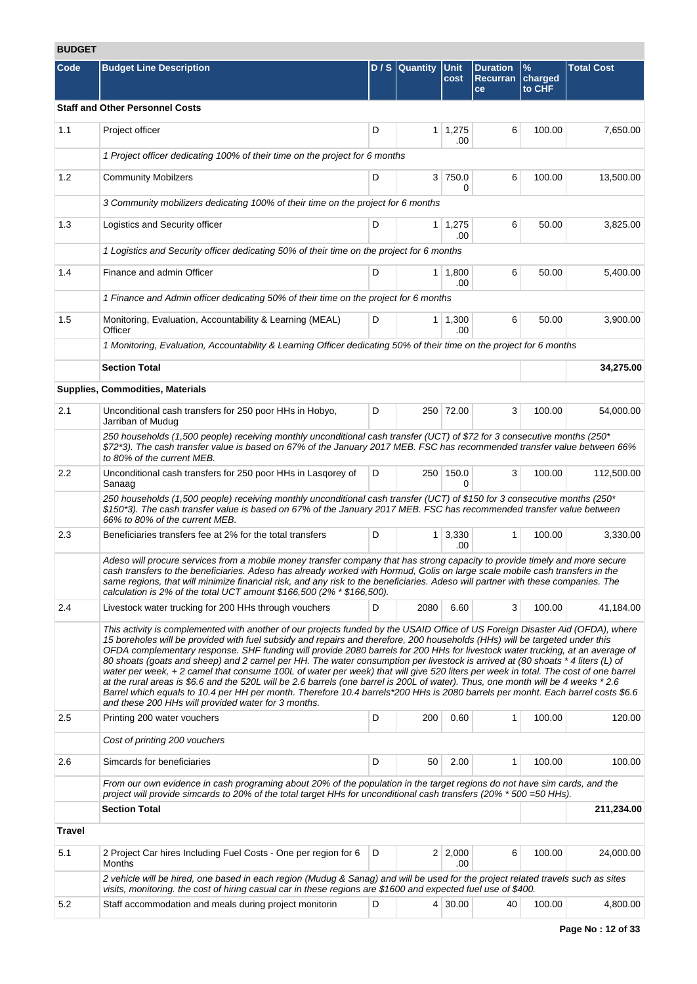# **BUDGET**

| BUDGEI |                                                                                                                                                                                                                                                                                                                                                                                                                                                                                                                                                                                                                                                                                                                                                                                                                                                                                                                                                                                                     |   |                |                       |                                          |                           |                   |
|--------|-----------------------------------------------------------------------------------------------------------------------------------------------------------------------------------------------------------------------------------------------------------------------------------------------------------------------------------------------------------------------------------------------------------------------------------------------------------------------------------------------------------------------------------------------------------------------------------------------------------------------------------------------------------------------------------------------------------------------------------------------------------------------------------------------------------------------------------------------------------------------------------------------------------------------------------------------------------------------------------------------------|---|----------------|-----------------------|------------------------------------------|---------------------------|-------------------|
| Code   | <b>Budget Line Description</b>                                                                                                                                                                                                                                                                                                                                                                                                                                                                                                                                                                                                                                                                                                                                                                                                                                                                                                                                                                      |   | D / S Quantity | <b>Unit</b><br>cost   | <b>Duration</b><br><b>Recurran</b><br>ce | $\%$<br>charged<br>to CHF | <b>Total Cost</b> |
|        | <b>Staff and Other Personnel Costs</b>                                                                                                                                                                                                                                                                                                                                                                                                                                                                                                                                                                                                                                                                                                                                                                                                                                                                                                                                                              |   |                |                       |                                          |                           |                   |
| 1.1    | Project officer                                                                                                                                                                                                                                                                                                                                                                                                                                                                                                                                                                                                                                                                                                                                                                                                                                                                                                                                                                                     | D |                | $1 \mid 1,275$<br>.00 | 6                                        | 100.00                    | 7,650.00          |
|        | 1 Project officer dedicating 100% of their time on the project for 6 months                                                                                                                                                                                                                                                                                                                                                                                                                                                                                                                                                                                                                                                                                                                                                                                                                                                                                                                         |   |                |                       |                                          |                           |                   |
| 1.2    | <b>Community Mobilzers</b>                                                                                                                                                                                                                                                                                                                                                                                                                                                                                                                                                                                                                                                                                                                                                                                                                                                                                                                                                                          | D |                | 3 750.0<br>0          | 6                                        | 100.00                    | 13,500.00         |
|        | 3 Community mobilizers dedicating 100% of their time on the project for 6 months                                                                                                                                                                                                                                                                                                                                                                                                                                                                                                                                                                                                                                                                                                                                                                                                                                                                                                                    |   |                |                       |                                          |                           |                   |
| 1.3    | Logistics and Security officer                                                                                                                                                                                                                                                                                                                                                                                                                                                                                                                                                                                                                                                                                                                                                                                                                                                                                                                                                                      | D |                | $1 \mid 1,275$<br>.00 | 6                                        | 50.00                     | 3,825.00          |
|        | 1 Logistics and Security officer dedicating 50% of their time on the project for 6 months                                                                                                                                                                                                                                                                                                                                                                                                                                                                                                                                                                                                                                                                                                                                                                                                                                                                                                           |   |                |                       |                                          |                           |                   |
| 1.4    | Finance and admin Officer                                                                                                                                                                                                                                                                                                                                                                                                                                                                                                                                                                                                                                                                                                                                                                                                                                                                                                                                                                           | D |                | $1 \mid 1,800$<br>.00 | 6                                        | 50.00                     | 5,400.00          |
|        | 1 Finance and Admin officer dedicating 50% of their time on the project for 6 months                                                                                                                                                                                                                                                                                                                                                                                                                                                                                                                                                                                                                                                                                                                                                                                                                                                                                                                |   |                |                       |                                          |                           |                   |
| 1.5    | Monitoring, Evaluation, Accountability & Learning (MEAL)<br>Officer                                                                                                                                                                                                                                                                                                                                                                                                                                                                                                                                                                                                                                                                                                                                                                                                                                                                                                                                 | D |                | $1 \mid 1,300$<br>.00 | 6                                        | 50.00                     | 3.900.00          |
|        | 1 Monitoring, Evaluation, Accountability & Learning Officer dedicating 50% of their time on the project for 6 months                                                                                                                                                                                                                                                                                                                                                                                                                                                                                                                                                                                                                                                                                                                                                                                                                                                                                |   |                |                       |                                          |                           |                   |
|        | <b>Section Total</b>                                                                                                                                                                                                                                                                                                                                                                                                                                                                                                                                                                                                                                                                                                                                                                                                                                                                                                                                                                                |   |                |                       |                                          |                           | 34,275.00         |
|        | Supplies, Commodities, Materials                                                                                                                                                                                                                                                                                                                                                                                                                                                                                                                                                                                                                                                                                                                                                                                                                                                                                                                                                                    |   |                |                       |                                          |                           |                   |
| 2.1    | Unconditional cash transfers for 250 poor HHs in Hobyo,<br>Jarriban of Mudug                                                                                                                                                                                                                                                                                                                                                                                                                                                                                                                                                                                                                                                                                                                                                                                                                                                                                                                        | D |                | 250 72.00             | 3                                        | 100.00                    | 54,000.00         |
|        | 250 households (1,500 people) receiving monthly unconditional cash transfer (UCT) of \$72 for 3 consecutive months (250*<br>\$72*3). The cash transfer value is based on 67% of the January 2017 MEB. FSC has recommended transfer value between 66%<br>to 80% of the current MEB.                                                                                                                                                                                                                                                                                                                                                                                                                                                                                                                                                                                                                                                                                                                  |   |                |                       |                                          |                           |                   |
| 2.2    | Unconditional cash transfers for 250 poor HHs in Lasgorey of<br>Sanaag                                                                                                                                                                                                                                                                                                                                                                                                                                                                                                                                                                                                                                                                                                                                                                                                                                                                                                                              | D |                | 250 150.0<br>0        | 3                                        | 100.00                    | 112,500.00        |
|        | 250 households (1,500 people) receiving monthly unconditional cash transfer (UCT) of \$150 for 3 consecutive months (250*<br>\$150*3). The cash transfer value is based on 67% of the January 2017 MEB. FSC has recommended transfer value between<br>66% to 80% of the current MEB.                                                                                                                                                                                                                                                                                                                                                                                                                                                                                                                                                                                                                                                                                                                |   |                |                       |                                          |                           |                   |
| 2.3    | Beneficiaries transfers fee at 2% for the total transfers                                                                                                                                                                                                                                                                                                                                                                                                                                                                                                                                                                                                                                                                                                                                                                                                                                                                                                                                           | D |                | $1 \mid 3,330$<br>.00 | 1                                        | 100.00                    | 3,330.00          |
|        | Adeso will procure services from a mobile money transfer company that has strong capacity to provide timely and more secure<br>cash transfers to the beneficiaries. Adeso has already worked with Hormud, Golis on large scale mobile cash transfers in the<br>same regions, that will minimize financial risk, and any risk to the beneficiaries. Adeso will partner with these companies. The<br>calculation is 2% of the total UCT amount $$166,500 (2\% * $166,500)$ .                                                                                                                                                                                                                                                                                                                                                                                                                                                                                                                          |   |                |                       |                                          |                           |                   |
| 2.4    | Livestock water trucking for 200 HHs through vouchers                                                                                                                                                                                                                                                                                                                                                                                                                                                                                                                                                                                                                                                                                                                                                                                                                                                                                                                                               | D | 2080           | 6.60                  | 3                                        | 100.00                    | 41,184.00         |
|        | This activity is complemented with another of our projects funded by the USAID Office of US Foreign Disaster Aid (OFDA), where<br>15 boreholes will be provided with fuel subsidy and repairs and therefore, 200 households (HHs) will be targeted under this<br>OFDA complementary response. SHF funding will provide 2080 barrels for 200 HHs for livestock water trucking, at an average of<br>80 shoats (goats and sheep) and 2 camel per HH. The water consumption per livestock is arrived at (80 shoats * 4 liters (L) of<br>water per week, +2 camel that consume 100L of water per week) that will give 520 liters per week in total. The cost of one barrel<br>at the rural areas is \$6.6 and the 520L will be 2.6 barrels (one barrel is 200L of water). Thus, one month will be 4 weeks *2.6<br>Barrel which equals to 10.4 per HH per month. Therefore 10.4 barrels*200 HHs is 2080 barrels per monht. Each barrel costs \$6.6<br>and these 200 HHs will provided water for 3 months. |   |                |                       |                                          |                           |                   |
| 2.5    | Printing 200 water vouchers                                                                                                                                                                                                                                                                                                                                                                                                                                                                                                                                                                                                                                                                                                                                                                                                                                                                                                                                                                         | D | 200            | 0.60                  | 1                                        | 100.00                    | 120.00            |
|        | Cost of printing 200 vouchers                                                                                                                                                                                                                                                                                                                                                                                                                                                                                                                                                                                                                                                                                                                                                                                                                                                                                                                                                                       |   |                |                       |                                          |                           |                   |
| 2.6    | Simcards for beneficiaries                                                                                                                                                                                                                                                                                                                                                                                                                                                                                                                                                                                                                                                                                                                                                                                                                                                                                                                                                                          | D | 50             | 2.00                  | 1                                        | 100.00                    | 100.00            |
|        | From our own evidence in cash programing about 20% of the population in the target regions do not have sim cards, and the<br>project will provide simcards to 20% of the total target HHs for unconditional cash transfers (20% * 500 = 50 HHs).                                                                                                                                                                                                                                                                                                                                                                                                                                                                                                                                                                                                                                                                                                                                                    |   |                |                       |                                          |                           |                   |
|        | <b>Section Total</b>                                                                                                                                                                                                                                                                                                                                                                                                                                                                                                                                                                                                                                                                                                                                                                                                                                                                                                                                                                                |   |                |                       |                                          |                           | 211,234.00        |
| Travel |                                                                                                                                                                                                                                                                                                                                                                                                                                                                                                                                                                                                                                                                                                                                                                                                                                                                                                                                                                                                     |   |                |                       |                                          |                           |                   |
| 5.1    | 2 Project Car hires Including Fuel Costs - One per region for 6<br>Months                                                                                                                                                                                                                                                                                                                                                                                                                                                                                                                                                                                                                                                                                                                                                                                                                                                                                                                           | D |                | $2 \mid 2,000$<br>.00 | 6                                        | 100.00                    | 24,000.00         |
|        | 2 vehicle will be hired, one based in each region (Mudug & Sanag) and will be used for the project related travels such as sites<br>visits, monitoring. the cost of hiring casual car in these regions are \$1600 and expected fuel use of \$400.                                                                                                                                                                                                                                                                                                                                                                                                                                                                                                                                                                                                                                                                                                                                                   |   |                |                       |                                          |                           |                   |
| 5.2    | Staff accommodation and meals during project monitorin                                                                                                                                                                                                                                                                                                                                                                                                                                                                                                                                                                                                                                                                                                                                                                                                                                                                                                                                              | D |                | $4 \mid 30.00$        | 40                                       | 100.00                    | 4,800.00          |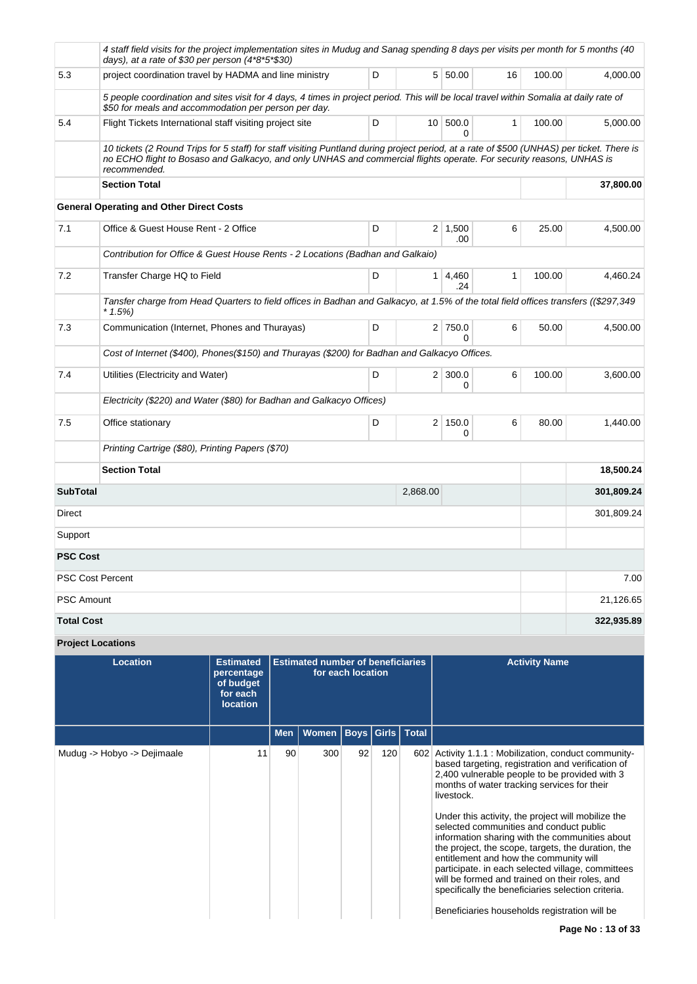|                   | 4 staff field visits for the project implementation sites in Mudug and Sanag spending 8 days per visits per month for 5 months (40<br>days), at a rate of \$30 per person $(4*8*5*830)$                                                                                           |   |                |                       |              |        |            |
|-------------------|-----------------------------------------------------------------------------------------------------------------------------------------------------------------------------------------------------------------------------------------------------------------------------------|---|----------------|-----------------------|--------------|--------|------------|
| 5.3               | project coordination travel by HADMA and line ministry                                                                                                                                                                                                                            | D |                | 5 50.00               | 16           | 100.00 | 4.000.00   |
|                   | 5 people coordination and sites visit for 4 days, 4 times in project period. This will be local travel within Somalia at daily rate of<br>\$50 for meals and accommodation per person per day.                                                                                    |   |                |                       |              |        |            |
| 5.4               | Flight Tickets International staff visiting project site                                                                                                                                                                                                                          | D |                | 10 500.0<br>$\Omega$  | $\mathbf{1}$ | 100.00 | 5,000.00   |
|                   | 10 tickets (2 Round Trips for 5 staff) for staff visiting Puntland during project period, at a rate of \$500 (UNHAS) per ticket. There is<br>no ECHO flight to Bosaso and Galkacyo, and only UNHAS and commercial flights operate. For security reasons, UNHAS is<br>recommended. |   |                |                       |              |        |            |
|                   | <b>Section Total</b>                                                                                                                                                                                                                                                              |   |                |                       |              |        | 37,800.00  |
|                   | <b>General Operating and Other Direct Costs</b>                                                                                                                                                                                                                                   |   |                |                       |              |        |            |
| 7.1               | Office & Guest House Rent - 2 Office                                                                                                                                                                                                                                              | D |                | $2 \mid 1,500$<br>.00 | 6            | 25.00  | 4,500.00   |
|                   | Contribution for Office & Guest House Rents - 2 Locations (Badhan and Galkaio)                                                                                                                                                                                                    |   |                |                       |              |        |            |
| 7.2               | Transfer Charge HQ to Field                                                                                                                                                                                                                                                       | D |                | $1 \mid 4,460$<br>.24 | $\mathbf{1}$ | 100.00 | 4,460.24   |
|                   | Tansfer charge from Head Quarters to field offices in Badhan and Galkacyo, at 1.5% of the total field offices transfers ((\$297,349<br>$*1.5\%)$                                                                                                                                  |   |                |                       |              |        |            |
| 7.3               | Communication (Internet, Phones and Thurayas)                                                                                                                                                                                                                                     | D |                | 2 750.0<br>$\Omega$   | 6            | 50.00  | 4,500.00   |
|                   | Cost of Internet (\$400), Phones(\$150) and Thurayas (\$200) for Badhan and Galkacyo Offices.                                                                                                                                                                                     |   |                |                       |              |        |            |
| 7.4               | Utilities (Electricity and Water)                                                                                                                                                                                                                                                 | D |                | $2 \mid 300.0$<br>0   | 6            | 100.00 | 3,600.00   |
|                   | Electricity (\$220) and Water (\$80) for Badhan and Galkacyo Offices)                                                                                                                                                                                                             |   |                |                       |              |        |            |
| 7.5               | Office stationary                                                                                                                                                                                                                                                                 | D | 2 <sup>1</sup> | 150.0<br>$\Omega$     | 6            | 80.00  | 1,440.00   |
|                   | Printing Cartrige (\$80), Printing Papers (\$70)                                                                                                                                                                                                                                  |   |                |                       |              |        |            |
|                   | <b>Section Total</b>                                                                                                                                                                                                                                                              |   |                |                       |              |        | 18,500.24  |
| <b>SubTotal</b>   |                                                                                                                                                                                                                                                                                   |   | 2,868.00       |                       |              |        | 301,809.24 |
| Direct            |                                                                                                                                                                                                                                                                                   |   |                |                       |              |        | 301,809.24 |
| Support           |                                                                                                                                                                                                                                                                                   |   |                |                       |              |        |            |
| <b>PSC Cost</b>   |                                                                                                                                                                                                                                                                                   |   |                |                       |              |        |            |
|                   | <b>PSC Cost Percent</b>                                                                                                                                                                                                                                                           |   |                |                       |              |        | 7.00       |
| <b>PSC Amount</b> |                                                                                                                                                                                                                                                                                   |   |                |                       |              |        | 21,126.65  |
| <b>Total Cost</b> |                                                                                                                                                                                                                                                                                   |   |                |                       |              |        | 322,935.89 |
|                   |                                                                                                                                                                                                                                                                                   |   |                |                       |              |        |            |

**Project Locations Location Estimated percentage of budget for each location Estimated number of beneficiaries for each location Activity Name Men Women Boys Girls Total** Mudug -> Hobyo -> Dejimaale 11 90 300 92 120 602 Activity 1.1.1 : Mobilization, conduct communitybased targeting, registration and verification of 2,400 vulnerable people to be provided with 3 months of water tracking services for their livestock. Under this activity, the project will mobilize the selected communities and conduct public information sharing with the communities about the project, the scope, targets, the duration, the entitlement and how the community will participate. in each selected village, committees will be formed and trained on their roles, and specifically the beneficiaries selection criteria. Beneficiaries households registration will be **Page No : 13 of 33**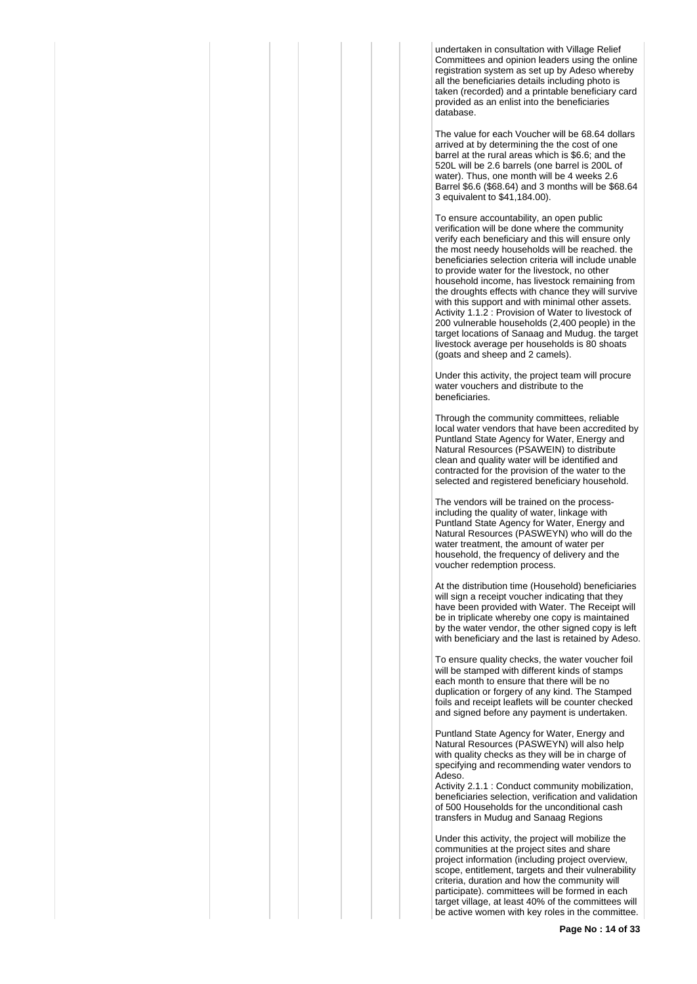undertaken in consultation with Village Relief Committees and opinion leaders using the online registration system as set up by Adeso whereby all the beneficiaries details including photo is taken (recorded) and a printable beneficiary card provided as an enlist into the beneficiaries database.

The value for each Voucher will be 68.64 dollars arrived at by determining the the cost of one barrel at the rural areas which is \$6.6; and the 520L will be 2.6 barrels (one barrel is 200L of water). Thus, one month will be 4 weeks 2.6 Barrel \$6.6 (\$68.64) and 3 months will be \$68.64 3 equivalent to \$41,184.00).

To ensure accountability, an open public verification will be done where the community verify each beneficiary and this will ensure only the most needy households will be reached. the beneficiaries selection criteria will include unable to provide water for the livestock, no other household income, has livestock remaining from the droughts effects with chance they will survive with this support and with minimal other assets. Activity 1.1.2 : Provision of Water to livestock of 200 vulnerable households (2,400 people) in the target locations of Sanaag and Mudug. the target livestock average per households is 80 shoats (goats and sheep and 2 camels).

Under this activity, the project team will procure water vouchers and distribute to the beneficiaries.

Through the community committees, reliable local water vendors that have been accredited by Puntland State Agency for Water, Energy and Natural Resources (PSAWEIN) to distribute clean and quality water will be identified and contracted for the provision of the water to the selected and registered beneficiary household.

The vendors will be trained on the processincluding the quality of water, linkage with Puntland State Agency for Water, Energy and Natural Resources (PASWEYN) who will do the water treatment, the amount of water per household, the frequency of delivery and the voucher redemption process.

At the distribution time (Household) beneficiaries will sign a receipt voucher indicating that they have been provided with Water. The Receipt will be in triplicate whereby one copy is maintained by the water vendor, the other signed copy is left with beneficiary and the last is retained by Adeso.

To ensure quality checks, the water voucher foil will be stamped with different kinds of stamps each month to ensure that there will be no duplication or forgery of any kind. The Stamped foils and receipt leaflets will be counter checked and signed before any payment is undertaken.

Puntland State Agency for Water, Energy and Natural Resources (PASWEYN) will also help with quality checks as they will be in charge of specifying and recommending water vendors to Adeso.

Activity 2.1.1 : Conduct community mobilization, beneficiaries selection, verification and validation of 500 Households for the unconditional cash transfers in Mudug and Sanaag Regions

Under this activity, the project will mobilize the communities at the project sites and share project information (including project overview, scope, entitlement, targets and their vulnerability criteria, duration and how the community will participate). committees will be formed in each target village, at least 40% of the committees will be active women with key roles in the committee.

**Page No : 14 of 33**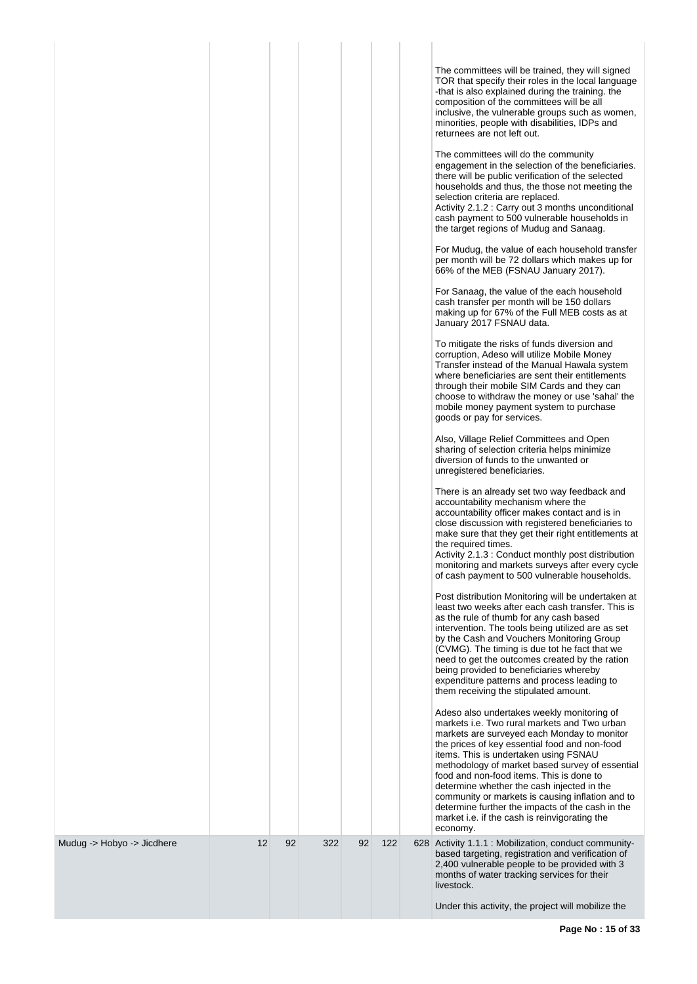|                            |    |    |     |    |     | The committees will be trained, they will signed<br>TOR that specify their roles in the local language<br>-that is also explained during the training. the<br>composition of the committees will be all<br>inclusive, the vulnerable groups such as women,<br>minorities, people with disabilities, IDPs and<br>returnees are not left out.                                                                                                                                                                                                           |
|----------------------------|----|----|-----|----|-----|-------------------------------------------------------------------------------------------------------------------------------------------------------------------------------------------------------------------------------------------------------------------------------------------------------------------------------------------------------------------------------------------------------------------------------------------------------------------------------------------------------------------------------------------------------|
|                            |    |    |     |    |     | The committees will do the community<br>engagement in the selection of the beneficiaries.<br>there will be public verification of the selected<br>households and thus, the those not meeting the<br>selection criteria are replaced.<br>Activity 2.1.2 : Carry out 3 months unconditional<br>cash payment to 500 vulnerable households in<br>the target regions of Mudug and Sanaag.                                                                                                                                                                  |
|                            |    |    |     |    |     | For Mudug, the value of each household transfer<br>per month will be 72 dollars which makes up for<br>66% of the MEB (FSNAU January 2017).                                                                                                                                                                                                                                                                                                                                                                                                            |
|                            |    |    |     |    |     | For Sanaag, the value of the each household<br>cash transfer per month will be 150 dollars<br>making up for 67% of the Full MEB costs as at<br>January 2017 FSNAU data.                                                                                                                                                                                                                                                                                                                                                                               |
|                            |    |    |     |    |     | To mitigate the risks of funds diversion and<br>corruption, Adeso will utilize Mobile Money<br>Transfer instead of the Manual Hawala system<br>where beneficiaries are sent their entitlements<br>through their mobile SIM Cards and they can<br>choose to withdraw the money or use 'sahal' the<br>mobile money payment system to purchase<br>goods or pay for services.                                                                                                                                                                             |
|                            |    |    |     |    |     | Also, Village Relief Committees and Open<br>sharing of selection criteria helps minimize<br>diversion of funds to the unwanted or<br>unregistered beneficiaries.                                                                                                                                                                                                                                                                                                                                                                                      |
|                            |    |    |     |    |     | There is an already set two way feedback and<br>accountability mechanism where the<br>accountability officer makes contact and is in<br>close discussion with registered beneficiaries to<br>make sure that they get their right entitlements at<br>the required times.<br>Activity 2.1.3 : Conduct monthly post distribution<br>monitoring and markets surveys after every cycle<br>of cash payment to 500 vulnerable households.                                                                                                                    |
|                            |    |    |     |    |     | Post distribution Monitoring will be undertaken at<br>least two weeks after each cash transfer. This is<br>as the rule of thumb for any cash based<br>intervention. The tools being utilized are as set<br>by the Cash and Vouchers Monitoring Group<br>(CVMG). The timing is due tot he fact that we<br>need to get the outcomes created by the ration<br>being provided to beneficiaries whereby<br>expenditure patterns and process leading to<br>them receiving the stipulated amount.                                                            |
|                            |    |    |     |    |     | Adeso also undertakes weekly monitoring of<br>markets i.e. Two rural markets and Two urban<br>markets are surveyed each Monday to monitor<br>the prices of key essential food and non-food<br>items. This is undertaken using FSNAU<br>methodology of market based survey of essential<br>food and non-food items. This is done to<br>determine whether the cash injected in the<br>community or markets is causing inflation and to<br>determine further the impacts of the cash in the<br>market i.e. if the cash is reinvigorating the<br>economy. |
| Mudug -> Hobyo -> Jicdhere | 12 | 92 | 322 | 92 | 122 | 628 Activity 1.1.1 : Mobilization, conduct community-<br>based targeting, registration and verification of<br>2,400 vulnerable people to be provided with 3<br>months of water tracking services for their<br>livestock.                                                                                                                                                                                                                                                                                                                              |
|                            |    |    |     |    |     | Under this activity, the project will mobilize the                                                                                                                                                                                                                                                                                                                                                                                                                                                                                                    |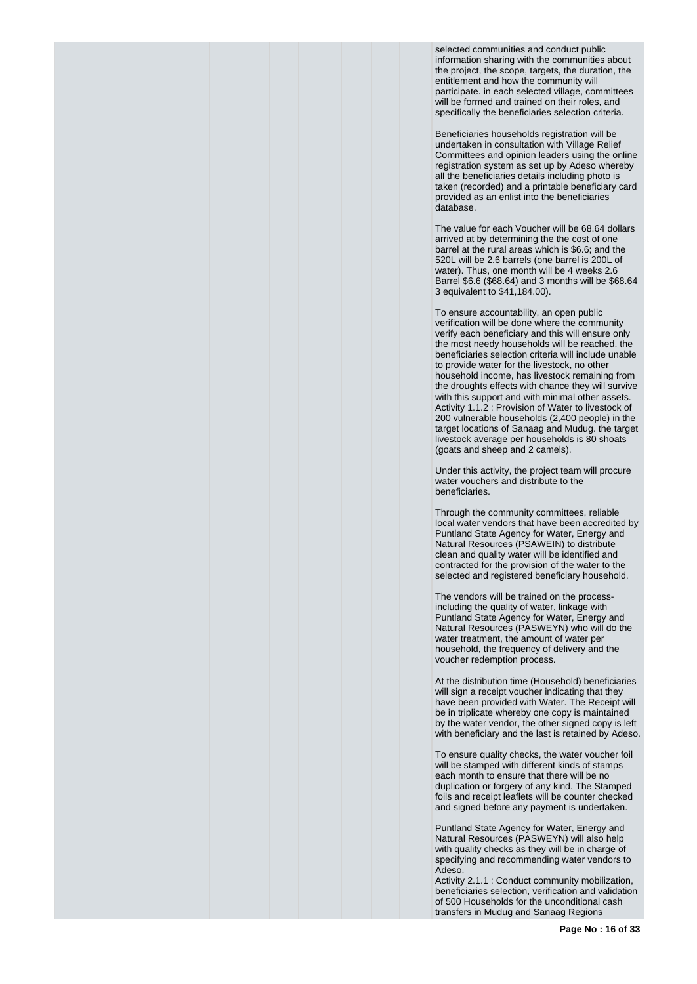selected communities and conduct public information sharing with the communities about the project, the scope, targets, the duration, the entitlement and how the community will participate. in each selected village, committees will be formed and trained on their roles, and specifically the beneficiaries selection criteria.

Beneficiaries households registration will be undertaken in consultation with Village Relief Committees and opinion leaders using the online registration system as set up by Adeso whereby all the beneficiaries details including photo is taken (recorded) and a printable beneficiary card provided as an enlist into the beneficiaries database.

The value for each Voucher will be 68.64 dollars arrived at by determining the the cost of one barrel at the rural areas which is \$6.6; and the 520L will be 2.6 barrels (one barrel is 200L of water). Thus, one month will be 4 weeks 2.6 Barrel \$6.6 (\$68.64) and 3 months will be \$68.64 3 equivalent to \$41,184.00).

To ensure accountability, an open public verification will be done where the community verify each beneficiary and this will ensure only the most needy households will be reached. the beneficiaries selection criteria will include unable to provide water for the livestock, no other household income, has livestock remaining from the droughts effects with chance they will survive with this support and with minimal other assets. Activity 1.1.2 : Provision of Water to livestock of 200 vulnerable households (2,400 people) in the target locations of Sanaag and Mudug. the target livestock average per households is 80 shoats (goats and sheep and 2 camels).

Under this activity, the project team will procure water vouchers and distribute to the beneficiaries.

Through the community committees, reliable local water vendors that have been accredited by Puntland State Agency for Water, Energy and Natural Resources (PSAWEIN) to distribute clean and quality water will be identified and contracted for the provision of the water to the selected and registered beneficiary household.

The vendors will be trained on the processincluding the quality of water, linkage with Puntland State Agency for Water, Energy and Natural Resources (PASWEYN) who will do the water treatment, the amount of water per household, the frequency of delivery and the voucher redemption process.

At the distribution time (Household) beneficiaries will sign a receipt voucher indicating that they have been provided with Water. The Receipt will be in triplicate whereby one copy is maintained by the water vendor, the other signed copy is left with beneficiary and the last is retained by Adeso.

To ensure quality checks, the water voucher foil will be stamped with different kinds of stamps each month to ensure that there will be no duplication or forgery of any kind. The Stamped foils and receipt leaflets will be counter checked and signed before any payment is undertaken.

Puntland State Agency for Water, Energy and Natural Resources (PASWEYN) will also help with quality checks as they will be in charge of specifying and recommending water vendors to Adeso.

Activity 2.1.1 : Conduct community mobilization, beneficiaries selection, verification and validation of 500 Households for the unconditional cash transfers in Mudug and Sanaag Regions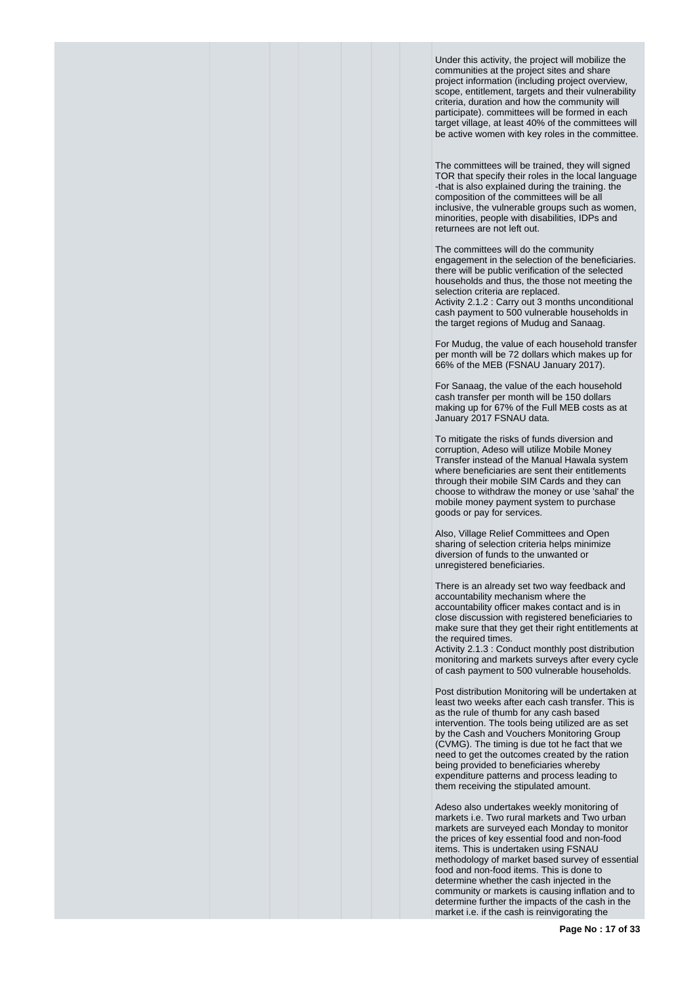Under this activity, the project will mobilize the communities at the project sites and share project information (including project overview, scope, entitlement, targets and their vulnerability criteria, duration and how the community will participate). committees will be formed in each target village, at least 40% of the committees will be active women with key roles in the committee.

The committees will be trained, they will signed TOR that specify their roles in the local language -that is also explained during the training. the composition of the committees will be all inclusive, the vulnerable groups such as women, minorities, people with disabilities, IDPs and returnees are not left out.

The committees will do the community engagement in the selection of the beneficiaries. there will be public verification of the selected households and thus, the those not meeting the selection criteria are replaced. Activity 2.1.2 : Carry out 3 months unconditional cash payment to 500 vulnerable households in the target regions of Mudug and Sanaag.

For Mudug, the value of each household transfer per month will be 72 dollars which makes up for 66% of the MEB (FSNAU January 2017).

For Sanaag, the value of the each household cash transfer per month will be 150 dollars making up for 67% of the Full MEB costs as at January 2017 FSNAU data.

To mitigate the risks of funds diversion and corruption, Adeso will utilize Mobile Money Transfer instead of the Manual Hawala system where beneficiaries are sent their entitlements through their mobile SIM Cards and they can choose to withdraw the money or use 'sahal' the mobile money payment system to purchase goods or pay for services.

Also, Village Relief Committees and Open sharing of selection criteria helps minimize diversion of funds to the unwanted or unregistered beneficiaries.

There is an already set two way feedback and accountability mechanism where the accountability officer makes contact and is in close discussion with registered beneficiaries to make sure that they get their right entitlements at the required times.

Activity 2.1.3 : Conduct monthly post distribution monitoring and markets surveys after every cycle of cash payment to 500 vulnerable households.

Post distribution Monitoring will be undertaken at least two weeks after each cash transfer. This is as the rule of thumb for any cash based intervention. The tools being utilized are as set by the Cash and Vouchers Monitoring Group (CVMG). The timing is due tot he fact that we need to get the outcomes created by the ration being provided to beneficiaries whereby expenditure patterns and process leading to them receiving the stipulated amount.

Adeso also undertakes weekly monitoring of markets i.e. Two rural markets and Two urban markets are surveyed each Monday to monitor the prices of key essential food and non-food items. This is undertaken using FSNAU methodology of market based survey of essential food and non-food items. This is done to determine whether the cash injected in the community or markets is causing inflation and to determine further the impacts of the cash in the market i.e. if the cash is reinvigorating the

**Page No : 17 of 33**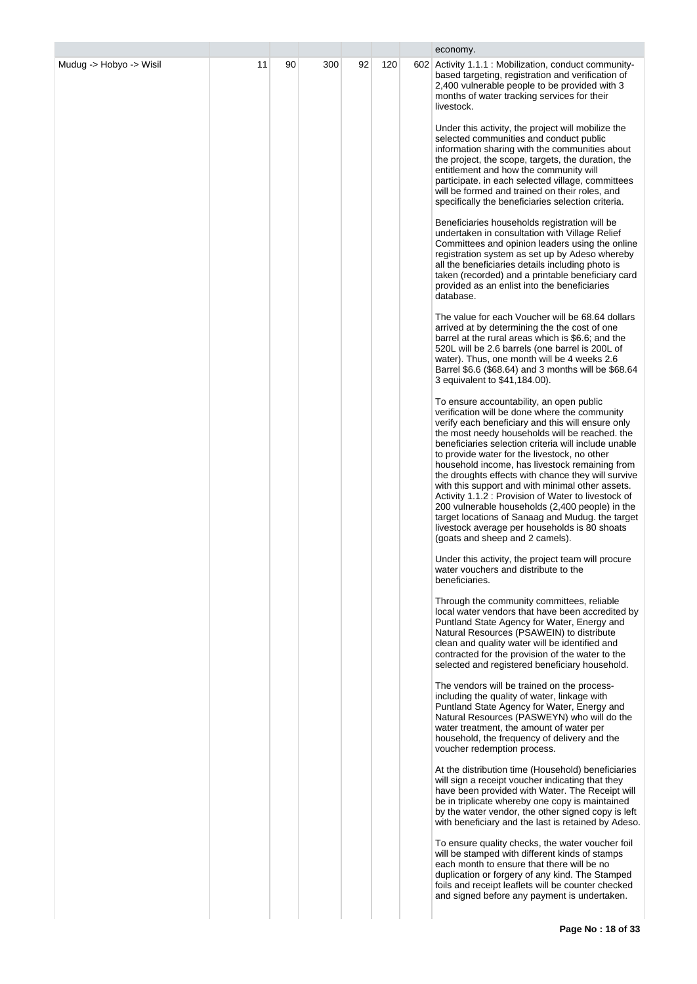|                         |    |    |     |    |     | economy.                                                                                                                                                                                                                                                                                                                                                                                                                                                                                                                                                                                                                                                                                                               |
|-------------------------|----|----|-----|----|-----|------------------------------------------------------------------------------------------------------------------------------------------------------------------------------------------------------------------------------------------------------------------------------------------------------------------------------------------------------------------------------------------------------------------------------------------------------------------------------------------------------------------------------------------------------------------------------------------------------------------------------------------------------------------------------------------------------------------------|
| Mudug -> Hobyo -> Wisil | 11 | 90 | 300 | 92 | 120 | 602 Activity 1.1.1 : Mobilization, conduct community-<br>based targeting, registration and verification of<br>2,400 vulnerable people to be provided with 3<br>months of water tracking services for their<br>livestock.                                                                                                                                                                                                                                                                                                                                                                                                                                                                                               |
|                         |    |    |     |    |     | Under this activity, the project will mobilize the<br>selected communities and conduct public<br>information sharing with the communities about<br>the project, the scope, targets, the duration, the<br>entitlement and how the community will<br>participate. in each selected village, committees<br>will be formed and trained on their roles, and<br>specifically the beneficiaries selection criteria.                                                                                                                                                                                                                                                                                                           |
|                         |    |    |     |    |     | Beneficiaries households registration will be<br>undertaken in consultation with Village Relief<br>Committees and opinion leaders using the online<br>registration system as set up by Adeso whereby<br>all the beneficiaries details including photo is<br>taken (recorded) and a printable beneficiary card<br>provided as an enlist into the beneficiaries<br>database.                                                                                                                                                                                                                                                                                                                                             |
|                         |    |    |     |    |     | The value for each Voucher will be 68.64 dollars<br>arrived at by determining the the cost of one<br>barrel at the rural areas which is \$6.6; and the<br>520L will be 2.6 barrels (one barrel is 200L of<br>water). Thus, one month will be 4 weeks 2.6<br>Barrel \$6.6 (\$68.64) and 3 months will be \$68.64<br>3 equivalent to \$41,184.00).                                                                                                                                                                                                                                                                                                                                                                       |
|                         |    |    |     |    |     | To ensure accountability, an open public<br>verification will be done where the community<br>verify each beneficiary and this will ensure only<br>the most needy households will be reached. the<br>beneficiaries selection criteria will include unable<br>to provide water for the livestock, no other<br>household income, has livestock remaining from<br>the droughts effects with chance they will survive<br>with this support and with minimal other assets.<br>Activity 1.1.2 : Provision of Water to livestock of<br>200 vulnerable households (2,400 people) in the<br>target locations of Sanaag and Mudug. the target<br>livestock average per households is 80 shoats<br>(goats and sheep and 2 camels). |
|                         |    |    |     |    |     | Under this activity, the project team will procure<br>water vouchers and distribute to the<br>beneficiaries.                                                                                                                                                                                                                                                                                                                                                                                                                                                                                                                                                                                                           |
|                         |    |    |     |    |     | Through the community committees, reliable<br>local water vendors that have been accredited by<br>Puntland State Agency for Water, Energy and<br>Natural Resources (PSAWEIN) to distribute<br>clean and quality water will be identified and<br>contracted for the provision of the water to the<br>selected and registered beneficiary household.                                                                                                                                                                                                                                                                                                                                                                     |
|                         |    |    |     |    |     | The vendors will be trained on the process-<br>including the quality of water, linkage with<br>Puntland State Agency for Water, Energy and<br>Natural Resources (PASWEYN) who will do the<br>water treatment, the amount of water per<br>household, the frequency of delivery and the<br>voucher redemption process.                                                                                                                                                                                                                                                                                                                                                                                                   |
|                         |    |    |     |    |     | At the distribution time (Household) beneficiaries<br>will sign a receipt voucher indicating that they<br>have been provided with Water. The Receipt will<br>be in triplicate whereby one copy is maintained<br>by the water vendor, the other signed copy is left<br>with beneficiary and the last is retained by Adeso.                                                                                                                                                                                                                                                                                                                                                                                              |
|                         |    |    |     |    |     | To ensure quality checks, the water voucher foil<br>will be stamped with different kinds of stamps<br>each month to ensure that there will be no<br>duplication or forgery of any kind. The Stamped<br>foils and receipt leaflets will be counter checked<br>and signed before any payment is undertaken.                                                                                                                                                                                                                                                                                                                                                                                                              |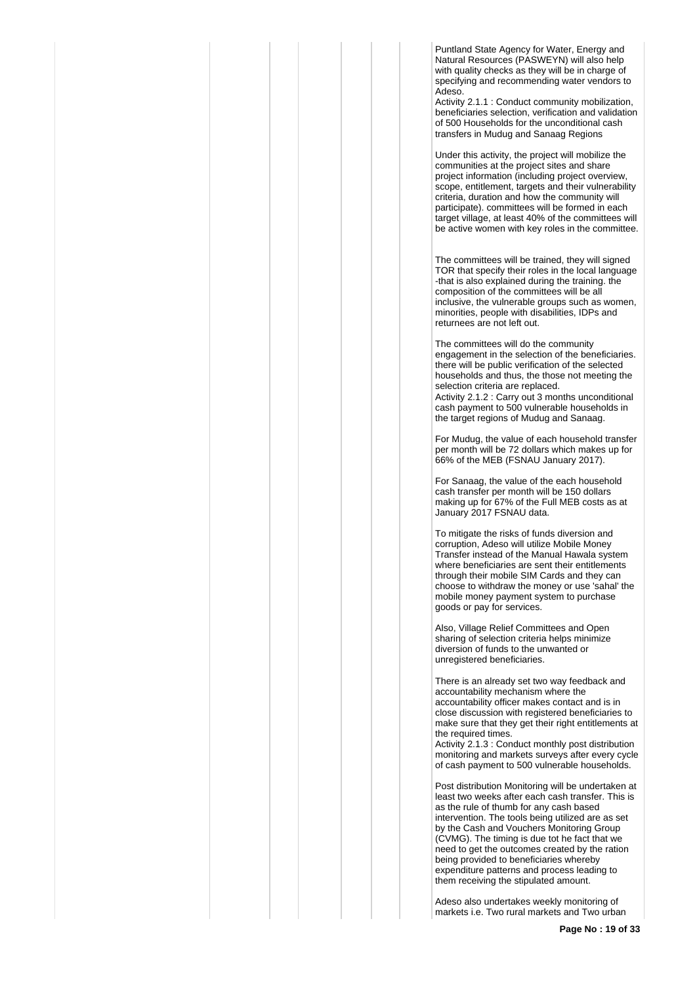Puntland State Agency for Water, Energy and Natural Resources (PASWEYN) will also help with quality checks as they will be in charge of specifying and recommending water vendors to Adeso.

Activity 2.1.1 : Conduct community mobilization, beneficiaries selection, verification and validation of 500 Households for the unconditional cash transfers in Mudug and Sanaag Regions

Under this activity, the project will mobilize the communities at the project sites and share project information (including project overview, scope, entitlement, targets and their vulnerability criteria, duration and how the community will participate). committees will be formed in each target village, at least 40% of the committees will be active women with key roles in the committee.

The committees will be trained, they will signed TOR that specify their roles in the local language -that is also explained during the training. the composition of the committees will be all inclusive, the vulnerable groups such as women, minorities, people with disabilities, IDPs and returnees are not left out.

The committees will do the community engagement in the selection of the beneficiaries. there will be public verification of the selected households and thus, the those not meeting the selection criteria are replaced. Activity 2.1.2 : Carry out 3 months unconditional cash payment to 500 vulnerable households in the target regions of Mudug and Sanaag.

For Mudug, the value of each household transfer per month will be 72 dollars which makes up for 66% of the MEB (FSNAU January 2017).

For Sanaag, the value of the each household cash transfer per month will be 150 dollars making up for 67% of the Full MEB costs as at January 2017 FSNAU data.

To mitigate the risks of funds diversion and corruption, Adeso will utilize Mobile Money Transfer instead of the Manual Hawala system where beneficiaries are sent their entitlements through their mobile SIM Cards and they can choose to withdraw the money or use 'sahal' the mobile money payment system to purchase goods or pay for services.

Also, Village Relief Committees and Open sharing of selection criteria helps minimize diversion of funds to the unwanted or unregistered beneficiaries.

There is an already set two way feedback and accountability mechanism where the accountability officer makes contact and is in close discussion with registered beneficiaries to make sure that they get their right entitlements at the required times.

Activity 2.1.3 : Conduct monthly post distribution monitoring and markets surveys after every cycle of cash payment to 500 vulnerable households.

Post distribution Monitoring will be undertaken at least two weeks after each cash transfer. This is as the rule of thumb for any cash based intervention. The tools being utilized are as set by the Cash and Vouchers Monitoring Group (CVMG). The timing is due tot he fact that we need to get the outcomes created by the ration being provided to beneficiaries whereby expenditure patterns and process leading to them receiving the stipulated amount.

Adeso also undertakes weekly monitoring of markets i.e. Two rural markets and Two urban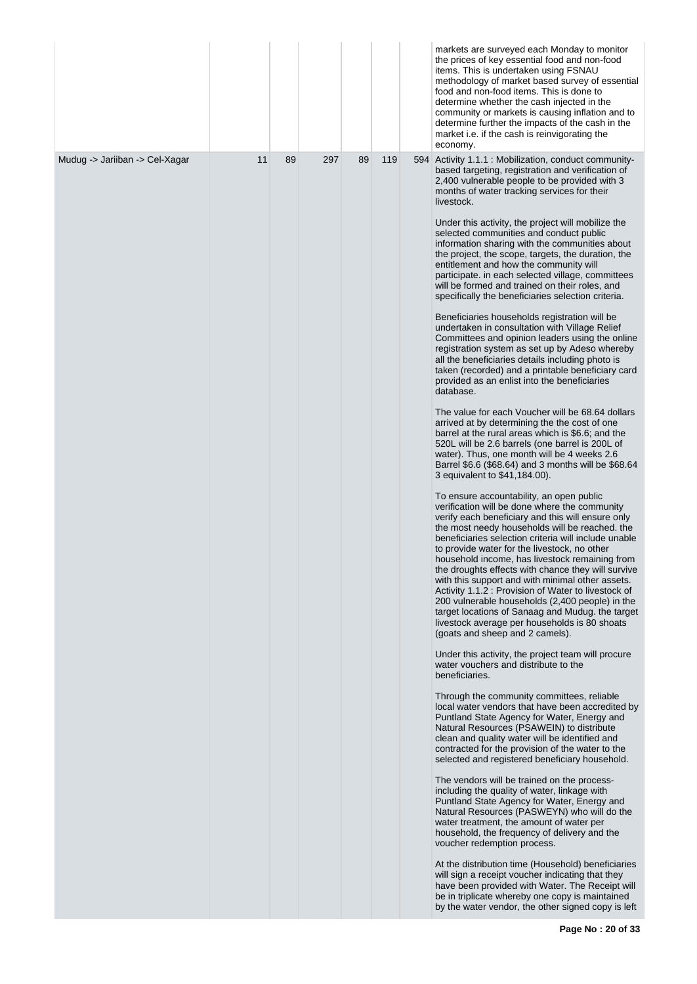|                                |    |    |     |    |     | markets are surveyed each Monday to monitor<br>the prices of key essential food and non-food<br>items. This is undertaken using FSNAU<br>methodology of market based survey of essential<br>food and non-food items. This is done to<br>determine whether the cash injected in the<br>community or markets is causing inflation and to<br>determine further the impacts of the cash in the<br>market i.e. if the cash is reinvigorating the<br>economy.                                                                                                                                                                                                                                                                |
|--------------------------------|----|----|-----|----|-----|------------------------------------------------------------------------------------------------------------------------------------------------------------------------------------------------------------------------------------------------------------------------------------------------------------------------------------------------------------------------------------------------------------------------------------------------------------------------------------------------------------------------------------------------------------------------------------------------------------------------------------------------------------------------------------------------------------------------|
| Mudug -> Jariiban -> Cel-Xagar | 11 | 89 | 297 | 89 | 119 | 594 Activity 1.1.1 : Mobilization, conduct community-<br>based targeting, registration and verification of<br>2,400 vulnerable people to be provided with 3<br>months of water tracking services for their<br>livestock.                                                                                                                                                                                                                                                                                                                                                                                                                                                                                               |
|                                |    |    |     |    |     | Under this activity, the project will mobilize the<br>selected communities and conduct public<br>information sharing with the communities about<br>the project, the scope, targets, the duration, the<br>entitlement and how the community will<br>participate. in each selected village, committees<br>will be formed and trained on their roles, and<br>specifically the beneficiaries selection criteria.                                                                                                                                                                                                                                                                                                           |
|                                |    |    |     |    |     | Beneficiaries households registration will be<br>undertaken in consultation with Village Relief<br>Committees and opinion leaders using the online<br>registration system as set up by Adeso whereby<br>all the beneficiaries details including photo is<br>taken (recorded) and a printable beneficiary card<br>provided as an enlist into the beneficiaries<br>database.                                                                                                                                                                                                                                                                                                                                             |
|                                |    |    |     |    |     | The value for each Voucher will be 68.64 dollars<br>arrived at by determining the the cost of one<br>barrel at the rural areas which is \$6.6; and the<br>520L will be 2.6 barrels (one barrel is 200L of<br>water). Thus, one month will be 4 weeks 2.6<br>Barrel \$6.6 (\$68.64) and 3 months will be \$68.64<br>3 equivalent to \$41,184.00).                                                                                                                                                                                                                                                                                                                                                                       |
|                                |    |    |     |    |     | To ensure accountability, an open public<br>verification will be done where the community<br>verify each beneficiary and this will ensure only<br>the most needy households will be reached. the<br>beneficiaries selection criteria will include unable<br>to provide water for the livestock, no other<br>household income, has livestock remaining from<br>the droughts effects with chance they will survive<br>with this support and with minimal other assets.<br>Activity 1.1.2 : Provision of Water to livestock of<br>200 vulnerable households (2,400 people) in the<br>target locations of Sanaag and Mudug. the target<br>livestock average per households is 80 shoats<br>(goats and sheep and 2 camels). |
|                                |    |    |     |    |     | Under this activity, the project team will procure<br>water vouchers and distribute to the<br>beneficiaries.<br>Through the community committees, reliable<br>local water vendors that have been accredited by                                                                                                                                                                                                                                                                                                                                                                                                                                                                                                         |
|                                |    |    |     |    |     | Puntland State Agency for Water, Energy and<br>Natural Resources (PSAWEIN) to distribute<br>clean and quality water will be identified and<br>contracted for the provision of the water to the<br>selected and registered beneficiary household.                                                                                                                                                                                                                                                                                                                                                                                                                                                                       |
|                                |    |    |     |    |     | The vendors will be trained on the process-<br>including the quality of water, linkage with<br>Puntland State Agency for Water, Energy and<br>Natural Resources (PASWEYN) who will do the<br>water treatment, the amount of water per<br>household, the frequency of delivery and the<br>voucher redemption process.                                                                                                                                                                                                                                                                                                                                                                                                   |
|                                |    |    |     |    |     | At the distribution time (Household) beneficiaries<br>will sign a receipt voucher indicating that they<br>have been provided with Water. The Receipt will<br>be in triplicate whereby one copy is maintained<br>by the water vendor, the other signed copy is left                                                                                                                                                                                                                                                                                                                                                                                                                                                     |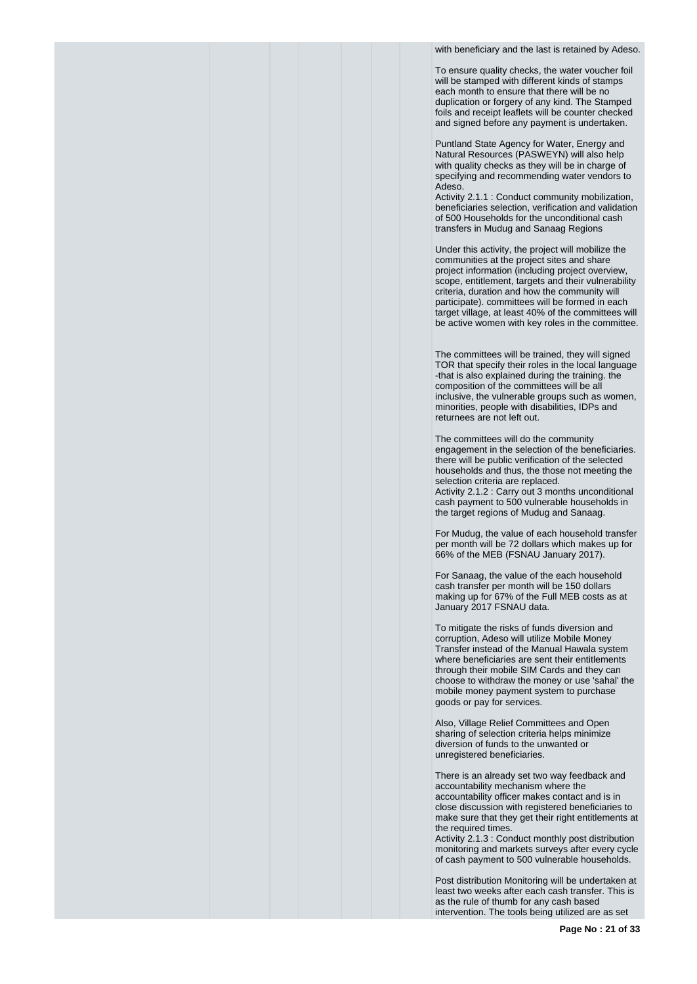with beneficiary and the last is retained by Adeso.

To ensure quality checks, the water voucher foil will be stamped with different kinds of stamps each month to ensure that there will be no duplication or forgery of any kind. The Stamped foils and receipt leaflets will be counter checked and signed before any payment is undertaken.

Puntland State Agency for Water, Energy and Natural Resources (PASWEYN) will also help with quality checks as they will be in charge of specifying and recommending water vendors to Adeso.

Activity 2.1.1 : Conduct community mobilization, beneficiaries selection, verification and validation of 500 Households for the unconditional cash transfers in Mudug and Sanaag Regions

Under this activity, the project will mobilize the communities at the project sites and share project information (including project overview, scope, entitlement, targets and their vulnerability criteria, duration and how the community will participate). committees will be formed in each target village, at least 40% of the committees will be active women with key roles in the committee.

The committees will be trained, they will signed TOR that specify their roles in the local language -that is also explained during the training. the composition of the committees will be all inclusive, the vulnerable groups such as women, minorities, people with disabilities, IDPs and returnees are not left out.

The committees will do the community engagement in the selection of the beneficiaries. there will be public verification of the selected households and thus, the those not meeting the selection criteria are replaced. Activity 2.1.2 : Carry out 3 months unconditional cash payment to 500 vulnerable households in the target regions of Mudug and Sanaag.

For Mudug, the value of each household transfer per month will be 72 dollars which makes up for 66% of the MEB (FSNAU January 2017).

For Sanaag, the value of the each household cash transfer per month will be 150 dollars making up for 67% of the Full MEB costs as at January 2017 FSNAU data.

To mitigate the risks of funds diversion and corruption, Adeso will utilize Mobile Money Transfer instead of the Manual Hawala system where beneficiaries are sent their entitlements through their mobile SIM Cards and they can choose to withdraw the money or use 'sahal' the mobile money payment system to purchase goods or pay for services.

Also, Village Relief Committees and Open sharing of selection criteria helps minimize diversion of funds to the unwanted or unregistered beneficiaries.

There is an already set two way feedback and accountability mechanism where the accountability officer makes contact and is in close discussion with registered beneficiaries to make sure that they get their right entitlements at the required times.

Activity 2.1.3 : Conduct monthly post distribution monitoring and markets surveys after every cycle of cash payment to 500 vulnerable households.

Post distribution Monitoring will be undertaken at least two weeks after each cash transfer. This is as the rule of thumb for any cash based intervention. The tools being utilized are as set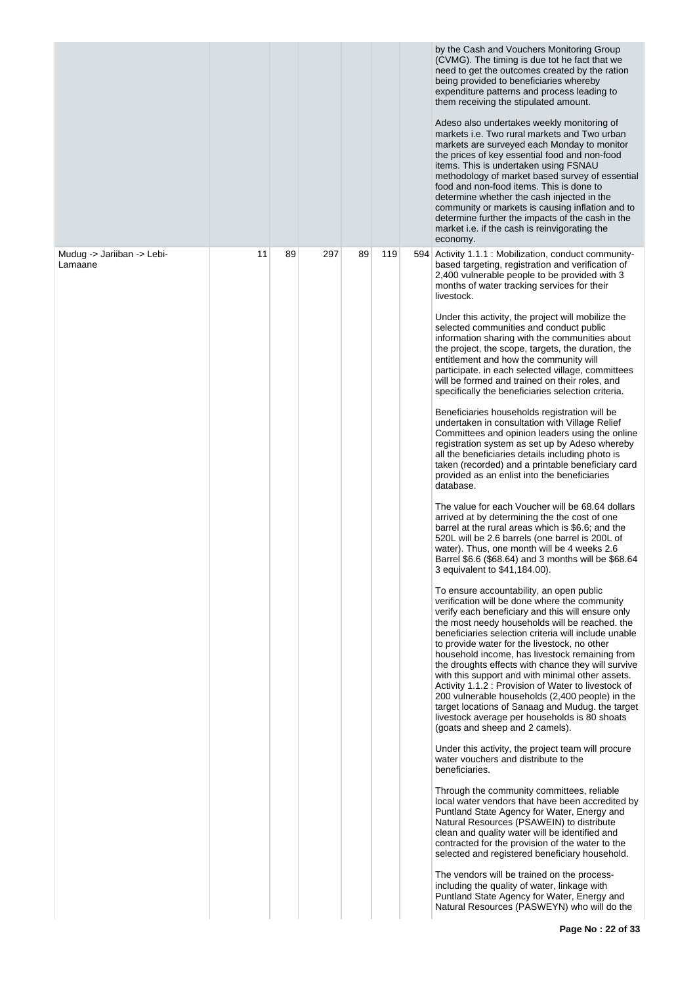|                                       |    |    |     |    |     | by the Cash and Vouchers Monitoring Group<br>(CVMG). The timing is due tot he fact that we<br>need to get the outcomes created by the ration<br>being provided to beneficiaries whereby<br>expenditure patterns and process leading to<br>them receiving the stipulated amount.<br>Adeso also undertakes weekly monitoring of<br>markets i.e. Two rural markets and Two urban<br>markets are surveyed each Monday to monitor<br>the prices of key essential food and non-food<br>items. This is undertaken using FSNAU<br>methodology of market based survey of essential<br>food and non-food items. This is done to<br>determine whether the cash injected in the<br>community or markets is causing inflation and to<br>determine further the impacts of the cash in the<br>market i.e. if the cash is reinvigorating the<br>economy.                                                                                                                                                                                                                                                                                                                                                                                                                                                                                                                                                                                                                                                                                                                                                                                                                                                                                                                                                                                                                                                                                                                                                                                                                                                                                                                                                                                                                                                                                                                                                                                                                                                                                                                                                                                                                                                                                                                                |
|---------------------------------------|----|----|-----|----|-----|-------------------------------------------------------------------------------------------------------------------------------------------------------------------------------------------------------------------------------------------------------------------------------------------------------------------------------------------------------------------------------------------------------------------------------------------------------------------------------------------------------------------------------------------------------------------------------------------------------------------------------------------------------------------------------------------------------------------------------------------------------------------------------------------------------------------------------------------------------------------------------------------------------------------------------------------------------------------------------------------------------------------------------------------------------------------------------------------------------------------------------------------------------------------------------------------------------------------------------------------------------------------------------------------------------------------------------------------------------------------------------------------------------------------------------------------------------------------------------------------------------------------------------------------------------------------------------------------------------------------------------------------------------------------------------------------------------------------------------------------------------------------------------------------------------------------------------------------------------------------------------------------------------------------------------------------------------------------------------------------------------------------------------------------------------------------------------------------------------------------------------------------------------------------------------------------------------------------------------------------------------------------------------------------------------------------------------------------------------------------------------------------------------------------------------------------------------------------------------------------------------------------------------------------------------------------------------------------------------------------------------------------------------------------------------------------------------------------------------------------------------------------------|
| Mudug -> Jariiban -> Lebi-<br>Lamaane | 11 | 89 | 297 | 89 | 119 | 594 Activity 1.1.1 : Mobilization, conduct community-<br>based targeting, registration and verification of<br>2,400 vulnerable people to be provided with 3<br>months of water tracking services for their<br>livestock.<br>Under this activity, the project will mobilize the<br>selected communities and conduct public<br>information sharing with the communities about<br>the project, the scope, targets, the duration, the<br>entitlement and how the community will<br>participate. in each selected village, committees<br>will be formed and trained on their roles, and<br>specifically the beneficiaries selection criteria.<br>Beneficiaries households registration will be<br>undertaken in consultation with Village Relief<br>Committees and opinion leaders using the online<br>registration system as set up by Adeso whereby<br>all the beneficiaries details including photo is<br>taken (recorded) and a printable beneficiary card<br>provided as an enlist into the beneficiaries<br>database.<br>The value for each Voucher will be 68.64 dollars<br>arrived at by determining the the cost of one<br>barrel at the rural areas which is \$6.6; and the<br>520L will be 2.6 barrels (one barrel is 200L of<br>water). Thus, one month will be 4 weeks 2.6<br>Barrel \$6.6 (\$68.64) and 3 months will be \$68.64<br>3 equivalent to \$41,184.00).<br>To ensure accountability, an open public<br>verification will be done where the community<br>verify each beneficiary and this will ensure only<br>the most needy households will be reached, the<br>beneficiaries selection criteria will include unable<br>to provide water for the livestock, no other<br>household income, has livestock remaining from<br>the droughts effects with chance they will survive<br>with this support and with minimal other assets.<br>Activity 1.1.2 : Provision of Water to livestock of<br>200 vulnerable households (2,400 people) in the<br>target locations of Sanaag and Mudug. the target<br>livestock average per households is 80 shoats<br>(goats and sheep and 2 camels).<br>Under this activity, the project team will procure<br>water vouchers and distribute to the<br>beneficiaries.<br>Through the community committees, reliable<br>local water vendors that have been accredited by<br>Puntland State Agency for Water, Energy and<br>Natural Resources (PSAWEIN) to distribute<br>clean and quality water will be identified and<br>contracted for the provision of the water to the<br>selected and registered beneficiary household.<br>The vendors will be trained on the process-<br>including the quality of water, linkage with<br>Puntland State Agency for Water, Energy and<br>Natural Resources (PASWEYN) who will do the |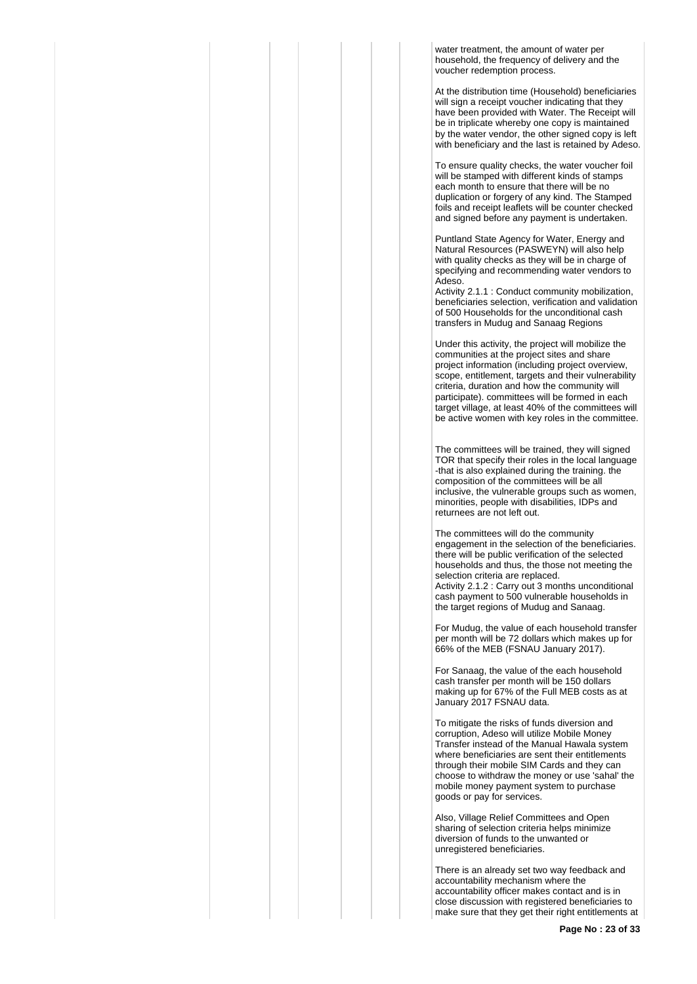water treatment, the amount of water per household, the frequency of delivery and the voucher redemption process.

At the distribution time (Household) beneficiaries will sign a receipt voucher indicating that they have been provided with Water. The Receipt will be in triplicate whereby one copy is maintained by the water vendor, the other signed copy is left with beneficiary and the last is retained by Adeso.

To ensure quality checks, the water voucher foil will be stamped with different kinds of stamps each month to ensure that there will be no duplication or forgery of any kind. The Stamped foils and receipt leaflets will be counter checked and signed before any payment is undertaken.

Puntland State Agency for Water, Energy and Natural Resources (PASWEYN) will also help with quality checks as they will be in charge of specifying and recommending water vendors to Adeso.

Activity 2.1.1 : Conduct community mobilization, beneficiaries selection, verification and validation of 500 Households for the unconditional cash transfers in Mudug and Sanaag Regions

Under this activity, the project will mobilize the communities at the project sites and share project information (including project overview, scope, entitlement, targets and their vulnerability criteria, duration and how the community will participate). committees will be formed in each target village, at least 40% of the committees will be active women with key roles in the committee.

The committees will be trained, they will signed TOR that specify their roles in the local language -that is also explained during the training. the composition of the committees will be all inclusive, the vulnerable groups such as women, minorities, people with disabilities, IDPs and returnees are not left out.

The committees will do the community engagement in the selection of the beneficiaries. there will be public verification of the selected households and thus, the those not meeting the selection criteria are replaced. Activity 2.1.2 : Carry out 3 months unconditional cash payment to 500 vulnerable households in the target regions of Mudug and Sanaag.

For Mudug, the value of each household transfer per month will be 72 dollars which makes up for 66% of the MEB (FSNAU January 2017).

For Sanaag, the value of the each household cash transfer per month will be 150 dollars making up for 67% of the Full MEB costs as at January 2017 FSNAU data.

To mitigate the risks of funds diversion and corruption, Adeso will utilize Mobile Money Transfer instead of the Manual Hawala system where beneficiaries are sent their entitlements through their mobile SIM Cards and they can choose to withdraw the money or use 'sahal' the mobile money payment system to purchase goods or pay for services.

Also, Village Relief Committees and Open sharing of selection criteria helps minimize diversion of funds to the unwanted or unregistered beneficiaries.

There is an already set two way feedback and accountability mechanism where the accountability officer makes contact and is in close discussion with registered beneficiaries to make sure that they get their right entitlements at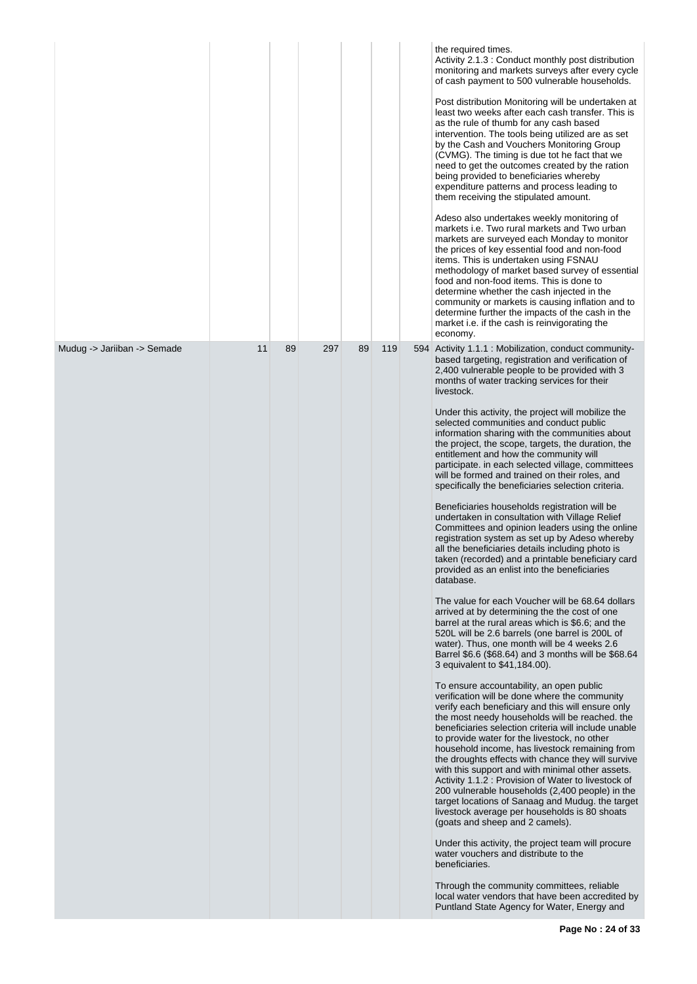|                             |    |    |     |    |     | the required times.<br>Activity 2.1.3 : Conduct monthly post distribution<br>monitoring and markets surveys after every cycle<br>of cash payment to 500 vulnerable households.<br>Post distribution Monitoring will be undertaken at<br>least two weeks after each cash transfer. This is<br>as the rule of thumb for any cash based<br>intervention. The tools being utilized are as set<br>by the Cash and Vouchers Monitoring Group<br>(CVMG). The timing is due tot he fact that we<br>need to get the outcomes created by the ration<br>being provided to beneficiaries whereby<br>expenditure patterns and process leading to<br>them receiving the stipulated amount.<br>Adeso also undertakes weekly monitoring of<br>markets i.e. Two rural markets and Two urban<br>markets are surveyed each Monday to monitor<br>the prices of key essential food and non-food<br>items. This is undertaken using FSNAU<br>methodology of market based survey of essential<br>food and non-food items. This is done to<br>determine whether the cash injected in the<br>community or markets is causing inflation and to<br>determine further the impacts of the cash in the<br>market i.e. if the cash is reinvigorating the<br>economy.                                                                                                                                                                                                                                                                                                                                                                                                                                                                                                                                                                                                                                                                                                                                                                                                                                                                                                                                                                                                                                                                                                                                 |
|-----------------------------|----|----|-----|----|-----|-----------------------------------------------------------------------------------------------------------------------------------------------------------------------------------------------------------------------------------------------------------------------------------------------------------------------------------------------------------------------------------------------------------------------------------------------------------------------------------------------------------------------------------------------------------------------------------------------------------------------------------------------------------------------------------------------------------------------------------------------------------------------------------------------------------------------------------------------------------------------------------------------------------------------------------------------------------------------------------------------------------------------------------------------------------------------------------------------------------------------------------------------------------------------------------------------------------------------------------------------------------------------------------------------------------------------------------------------------------------------------------------------------------------------------------------------------------------------------------------------------------------------------------------------------------------------------------------------------------------------------------------------------------------------------------------------------------------------------------------------------------------------------------------------------------------------------------------------------------------------------------------------------------------------------------------------------------------------------------------------------------------------------------------------------------------------------------------------------------------------------------------------------------------------------------------------------------------------------------------------------------------------------------------------------------------------------------------------------------------------|
| Mudug -> Jariiban -> Semade | 11 | 89 | 297 | 89 | 119 | 594 Activity 1.1.1 : Mobilization, conduct community-<br>based targeting, registration and verification of<br>2,400 vulnerable people to be provided with 3<br>months of water tracking services for their<br>livestock.<br>Under this activity, the project will mobilize the<br>selected communities and conduct public<br>information sharing with the communities about<br>the project, the scope, targets, the duration, the<br>entitlement and how the community will<br>participate. in each selected village, committees<br>will be formed and trained on their roles, and<br>specifically the beneficiaries selection criteria.<br>Beneficiaries households registration will be<br>undertaken in consultation with Village Relief<br>Committees and opinion leaders using the online<br>registration system as set up by Adeso whereby<br>all the beneficiaries details including photo is<br>taken (recorded) and a printable beneficiary card<br>provided as an enlist into the beneficiaries<br>database.<br>The value for each Voucher will be 68.64 dollars<br>arrived at by determining the the cost of one<br>barrel at the rural areas which is \$6.6; and the<br>520L will be 2.6 barrels (one barrel is 200L of<br>water). Thus, one month will be 4 weeks 2.6<br>Barrel \$6.6 (\$68.64) and 3 months will be \$68.64<br>3 equivalent to \$41,184.00).<br>To ensure accountability, an open public<br>verification will be done where the community<br>verify each beneficiary and this will ensure only<br>the most needy households will be reached, the<br>beneficiaries selection criteria will include unable<br>to provide water for the livestock, no other<br>household income, has livestock remaining from<br>the droughts effects with chance they will survive<br>with this support and with minimal other assets.<br>Activity 1.1.2 : Provision of Water to livestock of<br>200 vulnerable households (2,400 people) in the<br>target locations of Sanaag and Mudug. the target<br>livestock average per households is 80 shoats<br>(goats and sheep and 2 camels).<br>Under this activity, the project team will procure<br>water vouchers and distribute to the<br>beneficiaries.<br>Through the community committees, reliable<br>local water vendors that have been accredited by<br>Puntland State Agency for Water, Energy and |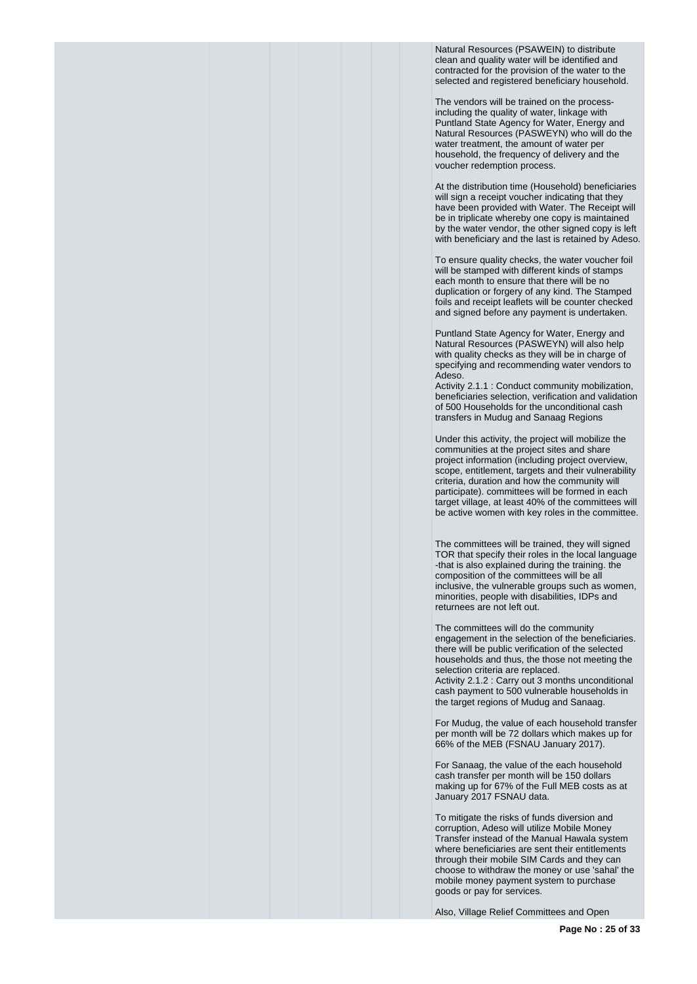Natural Resources (PSAWEIN) to distribute clean and quality water will be identified and contracted for the provision of the water to the selected and registered beneficiary household.

The vendors will be trained on the processincluding the quality of water, linkage with Puntland State Agency for Water, Energy and Natural Resources (PASWEYN) who will do the water treatment, the amount of water per household, the frequency of delivery and the voucher redemption process.

At the distribution time (Household) beneficiaries will sign a receipt voucher indicating that they have been provided with Water. The Receipt will be in triplicate whereby one copy is maintained by the water vendor, the other signed copy is left with beneficiary and the last is retained by Adeso.

To ensure quality checks, the water voucher foil will be stamped with different kinds of stamps each month to ensure that there will be no duplication or forgery of any kind. The Stamped foils and receipt leaflets will be counter checked and signed before any payment is undertaken.

Puntland State Agency for Water, Energy and Natural Resources (PASWEYN) will also help with quality checks as they will be in charge of specifying and recommending water vendors to Adeso.

Activity 2.1.1 : Conduct community mobilization, beneficiaries selection, verification and validation of 500 Households for the unconditional cash transfers in Mudug and Sanaag Regions

Under this activity, the project will mobilize the communities at the project sites and share project information (including project overview, scope, entitlement, targets and their vulnerability criteria, duration and how the community will participate). committees will be formed in each target village, at least 40% of the committees will be active women with key roles in the committee.

The committees will be trained, they will signed TOR that specify their roles in the local language -that is also explained during the training. the composition of the committees will be all inclusive, the vulnerable groups such as women, minorities, people with disabilities, IDPs and returnees are not left out.

The committees will do the community engagement in the selection of the beneficiaries. there will be public verification of the selected households and thus, the those not meeting the selection criteria are replaced.

Activity 2.1.2 : Carry out 3 months unconditional cash payment to 500 vulnerable households in the target regions of Mudug and Sanaag.

For Mudug, the value of each household transfer per month will be 72 dollars which makes up for 66% of the MEB (FSNAU January 2017).

For Sanaag, the value of the each household cash transfer per month will be 150 dollars making up for 67% of the Full MEB costs as at January 2017 FSNAU data.

To mitigate the risks of funds diversion and corruption, Adeso will utilize Mobile Money Transfer instead of the Manual Hawala system where beneficiaries are sent their entitlements through their mobile SIM Cards and they can choose to withdraw the money or use 'sahal' the mobile money payment system to purchase goods or pay for services.

Also, Village Relief Committees and Open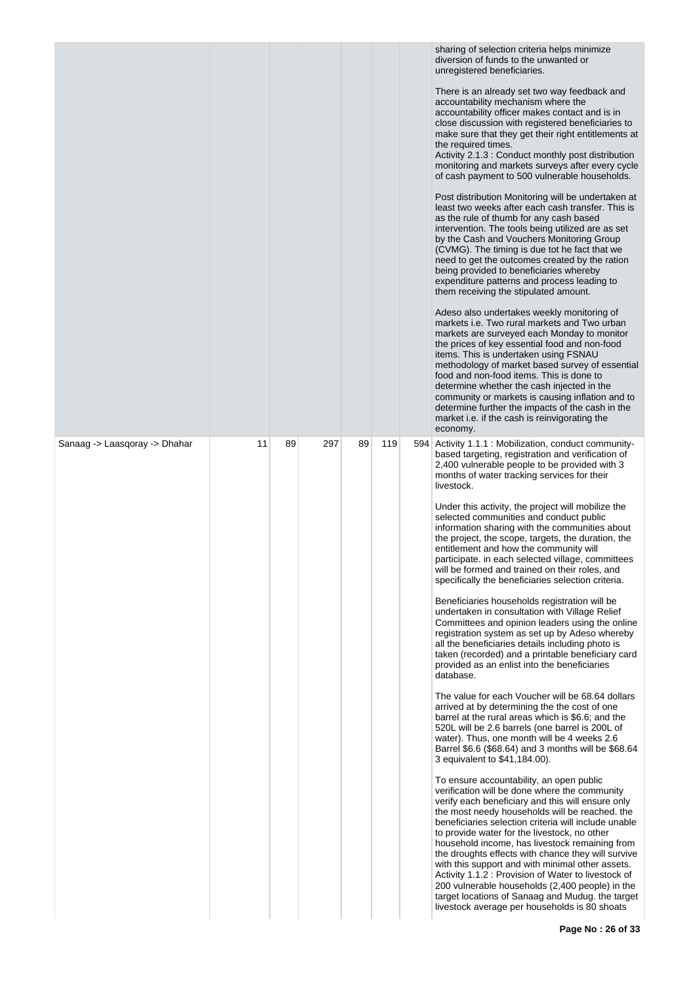|                               |    |    |     |    |     | sharing of selection criteria helps minimize<br>diversion of funds to the unwanted or<br>unregistered beneficiaries.<br>There is an already set two way feedback and<br>accountability mechanism where the<br>accountability officer makes contact and is in<br>close discussion with registered beneficiaries to<br>make sure that they get their right entitlements at<br>the required times.<br>Activity 2.1.3 : Conduct monthly post distribution<br>monitoring and markets surveys after every cycle<br>of cash payment to 500 vulnerable households.<br>Post distribution Monitoring will be undertaken at<br>least two weeks after each cash transfer. This is<br>as the rule of thumb for any cash based<br>intervention. The tools being utilized are as set<br>by the Cash and Vouchers Monitoring Group<br>(CVMG). The timing is due tot he fact that we<br>need to get the outcomes created by the ration<br>being provided to beneficiaries whereby<br>expenditure patterns and process leading to<br>them receiving the stipulated amount.<br>Adeso also undertakes weekly monitoring of<br>markets i.e. Two rural markets and Two urban<br>markets are surveyed each Monday to monitor<br>the prices of key essential food and non-food<br>items. This is undertaken using FSNAU<br>methodology of market based survey of essential<br>food and non-food items. This is done to<br>determine whether the cash injected in the<br>community or markets is causing inflation and to<br>determine further the impacts of the cash in the<br>market i.e. if the cash is reinvigorating the                                                                                                                                                                                                                                                                                                                                                                                                                                                                         |
|-------------------------------|----|----|-----|----|-----|-------------------------------------------------------------------------------------------------------------------------------------------------------------------------------------------------------------------------------------------------------------------------------------------------------------------------------------------------------------------------------------------------------------------------------------------------------------------------------------------------------------------------------------------------------------------------------------------------------------------------------------------------------------------------------------------------------------------------------------------------------------------------------------------------------------------------------------------------------------------------------------------------------------------------------------------------------------------------------------------------------------------------------------------------------------------------------------------------------------------------------------------------------------------------------------------------------------------------------------------------------------------------------------------------------------------------------------------------------------------------------------------------------------------------------------------------------------------------------------------------------------------------------------------------------------------------------------------------------------------------------------------------------------------------------------------------------------------------------------------------------------------------------------------------------------------------------------------------------------------------------------------------------------------------------------------------------------------------------------------------------------------------------------------------------------------------------|
| Sanaag -> Laasqoray -> Dhahar | 11 | 89 | 297 | 89 | 119 | economy.<br>594 Activity 1.1.1 : Mobilization, conduct community-<br>based targeting, registration and verification of<br>2,400 vulnerable people to be provided with 3<br>months of water tracking services for their<br>livestock.<br>Under this activity, the project will mobilize the<br>selected communities and conduct public<br>information sharing with the communities about<br>the project, the scope, targets, the duration, the<br>entitlement and how the community will<br>participate. in each selected village, committees<br>will be formed and trained on their roles, and<br>specifically the beneficiaries selection criteria.<br>Beneficiaries households registration will be<br>undertaken in consultation with Village Relief<br>Committees and opinion leaders using the online<br>registration system as set up by Adeso whereby<br>all the beneficiaries details including photo is<br>taken (recorded) and a printable beneficiary card<br>provided as an enlist into the beneficiaries<br>database.<br>The value for each Voucher will be 68.64 dollars<br>arrived at by determining the the cost of one<br>barrel at the rural areas which is \$6.6; and the<br>520L will be 2.6 barrels (one barrel is 200L of<br>water). Thus, one month will be 4 weeks 2.6<br>Barrel \$6.6 (\$68.64) and 3 months will be \$68.64<br>3 equivalent to \$41,184.00).<br>To ensure accountability, an open public<br>verification will be done where the community<br>verify each beneficiary and this will ensure only<br>the most needy households will be reached, the<br>beneficiaries selection criteria will include unable<br>to provide water for the livestock, no other<br>household income, has livestock remaining from<br>the droughts effects with chance they will survive<br>with this support and with minimal other assets.<br>Activity 1.1.2 : Provision of Water to livestock of<br>200 vulnerable households (2,400 people) in the<br>target locations of Sanaag and Mudug. the target<br>livestock average per households is 80 shoats |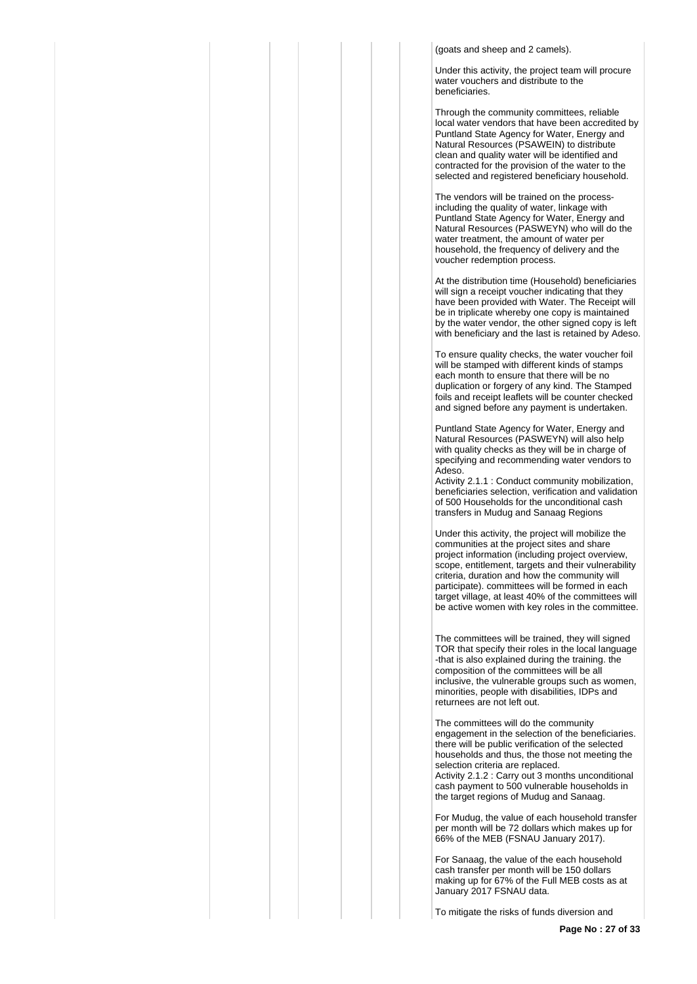(goats and sheep and 2 camels).

Under this activity, the project team will procure water vouchers and distribute to the beneficiaries.

Through the community committees, reliable local water vendors that have been accredited by Puntland State Agency for Water, Energy and Natural Resources (PSAWEIN) to distribute clean and quality water will be identified and contracted for the provision of the water to the selected and registered beneficiary household.

The vendors will be trained on the processincluding the quality of water, linkage with Puntland State Agency for Water, Energy and Natural Resources (PASWEYN) who will do the water treatment, the amount of water per household, the frequency of delivery and the voucher redemption process.

At the distribution time (Household) beneficiaries will sign a receipt voucher indicating that they have been provided with Water. The Receipt will be in triplicate whereby one copy is maintained by the water vendor, the other signed copy is left with beneficiary and the last is retained by Adeso.

To ensure quality checks, the water voucher foil will be stamped with different kinds of stamps each month to ensure that there will be no duplication or forgery of any kind. The Stamped foils and receipt leaflets will be counter checked and signed before any payment is undertaken.

Puntland State Agency for Water, Energy and Natural Resources (PASWEYN) will also help with quality checks as they will be in charge of specifying and recommending water vendors to Adeso.

Activity 2.1.1 : Conduct community mobilization, beneficiaries selection, verification and validation of 500 Households for the unconditional cash transfers in Mudug and Sanaag Regions

Under this activity, the project will mobilize the communities at the project sites and share project information (including project overview, scope, entitlement, targets and their vulnerability criteria, duration and how the community will participate). committees will be formed in each target village, at least 40% of the committees will be active women with key roles in the committee.

The committees will be trained, they will signed TOR that specify their roles in the local language -that is also explained during the training. the composition of the committees will be all inclusive, the vulnerable groups such as women, minorities, people with disabilities, IDPs and returnees are not left out.

The committees will do the community engagement in the selection of the beneficiaries. there will be public verification of the selected households and thus, the those not meeting the selection criteria are replaced. Activity 2.1.2 : Carry out 3 months unconditional cash payment to 500 vulnerable households in the target regions of Mudug and Sanaag.

For Mudug, the value of each household transfer per month will be 72 dollars which makes up for 66% of the MEB (FSNAU January 2017).

For Sanaag, the value of the each household cash transfer per month will be 150 dollars making up for 67% of the Full MEB costs as at January 2017 FSNAU data.

To mitigate the risks of funds diversion and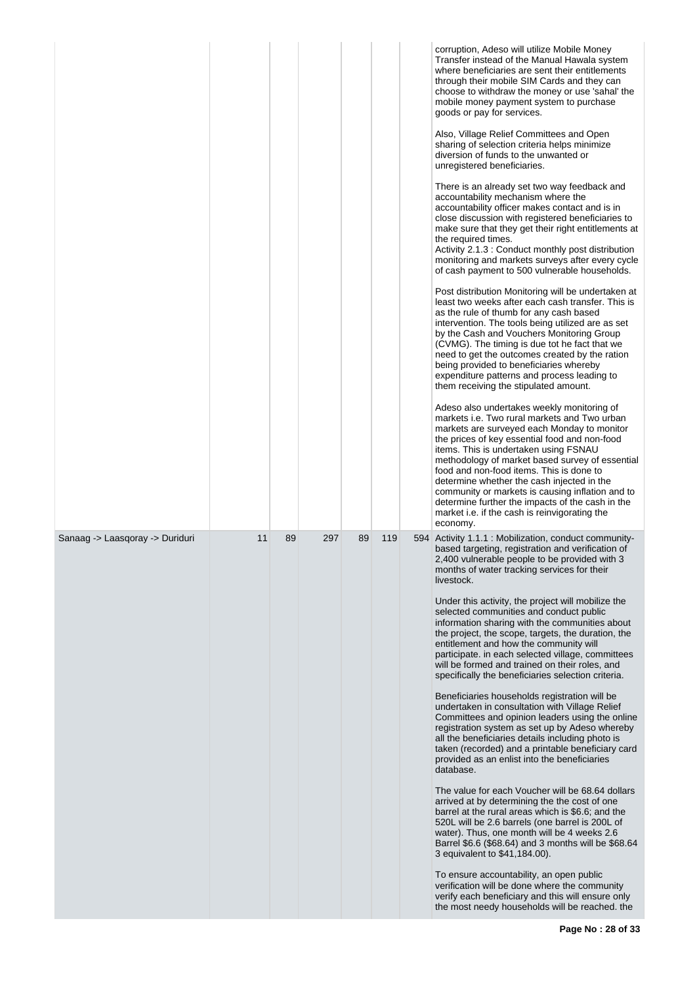|                                 |    |    |     |    |     | corruption, Adeso will utilize Mobile Money<br>Transfer instead of the Manual Hawala system<br>where beneficiaries are sent their entitlements<br>through their mobile SIM Cards and they can<br>choose to withdraw the money or use 'sahal' the<br>mobile money payment system to purchase<br>goods or pay for services.<br>Also, Village Relief Committees and Open<br>sharing of selection criteria helps minimize<br>diversion of funds to the unwanted or<br>unregistered beneficiaries.<br>There is an already set two way feedback and<br>accountability mechanism where the<br>accountability officer makes contact and is in<br>close discussion with registered beneficiaries to<br>make sure that they get their right entitlements at<br>the required times.<br>Activity 2.1.3 : Conduct monthly post distribution<br>monitoring and markets surveys after every cycle<br>of cash payment to 500 vulnerable households.<br>Post distribution Monitoring will be undertaken at<br>least two weeks after each cash transfer. This is<br>as the rule of thumb for any cash based<br>intervention. The tools being utilized are as set<br>by the Cash and Vouchers Monitoring Group<br>(CVMG). The timing is due tot he fact that we<br>need to get the outcomes created by the ration<br>being provided to beneficiaries whereby<br>expenditure patterns and process leading to<br>them receiving the stipulated amount.<br>Adeso also undertakes weekly monitoring of<br>markets i.e. Two rural markets and Two urban<br>markets are surveyed each Monday to monitor<br>the prices of key essential food and non-food<br>items. This is undertaken using FSNAU<br>methodology of market based survey of essential<br>food and non-food items. This is done to<br>determine whether the cash injected in the<br>community or markets is causing inflation and to<br>determine further the impacts of the cash in the<br>market i.e. if the cash is reinvigorating the<br>economy. |
|---------------------------------|----|----|-----|----|-----|--------------------------------------------------------------------------------------------------------------------------------------------------------------------------------------------------------------------------------------------------------------------------------------------------------------------------------------------------------------------------------------------------------------------------------------------------------------------------------------------------------------------------------------------------------------------------------------------------------------------------------------------------------------------------------------------------------------------------------------------------------------------------------------------------------------------------------------------------------------------------------------------------------------------------------------------------------------------------------------------------------------------------------------------------------------------------------------------------------------------------------------------------------------------------------------------------------------------------------------------------------------------------------------------------------------------------------------------------------------------------------------------------------------------------------------------------------------------------------------------------------------------------------------------------------------------------------------------------------------------------------------------------------------------------------------------------------------------------------------------------------------------------------------------------------------------------------------------------------------------------------------------------------------------------------------------------------------------------------------------|
| Sanaag -> Laasqoray -> Duriduri | 11 | 89 | 297 | 89 | 119 | 594 Activity 1.1.1 : Mobilization, conduct community-<br>based targeting, registration and verification of<br>2,400 vulnerable people to be provided with 3<br>months of water tracking services for their<br>livestock.<br>Under this activity, the project will mobilize the<br>selected communities and conduct public<br>information sharing with the communities about<br>the project, the scope, targets, the duration, the<br>entitlement and how the community will<br>participate. in each selected village, committees<br>will be formed and trained on their roles, and<br>specifically the beneficiaries selection criteria.<br>Beneficiaries households registration will be<br>undertaken in consultation with Village Relief<br>Committees and opinion leaders using the online<br>registration system as set up by Adeso whereby<br>all the beneficiaries details including photo is<br>taken (recorded) and a printable beneficiary card<br>provided as an enlist into the beneficiaries<br>database.<br>The value for each Voucher will be 68.64 dollars<br>arrived at by determining the the cost of one<br>barrel at the rural areas which is \$6.6; and the<br>520L will be 2.6 barrels (one barrel is 200L of<br>water). Thus, one month will be 4 weeks 2.6<br>Barrel \$6.6 (\$68.64) and 3 months will be \$68.64<br>3 equivalent to \$41,184.00).<br>To ensure accountability, an open public<br>verification will be done where the community<br>verify each beneficiary and this will ensure only<br>the most needy households will be reached. the                                                                                                                                                                                                                                                                                                                                                                                                             |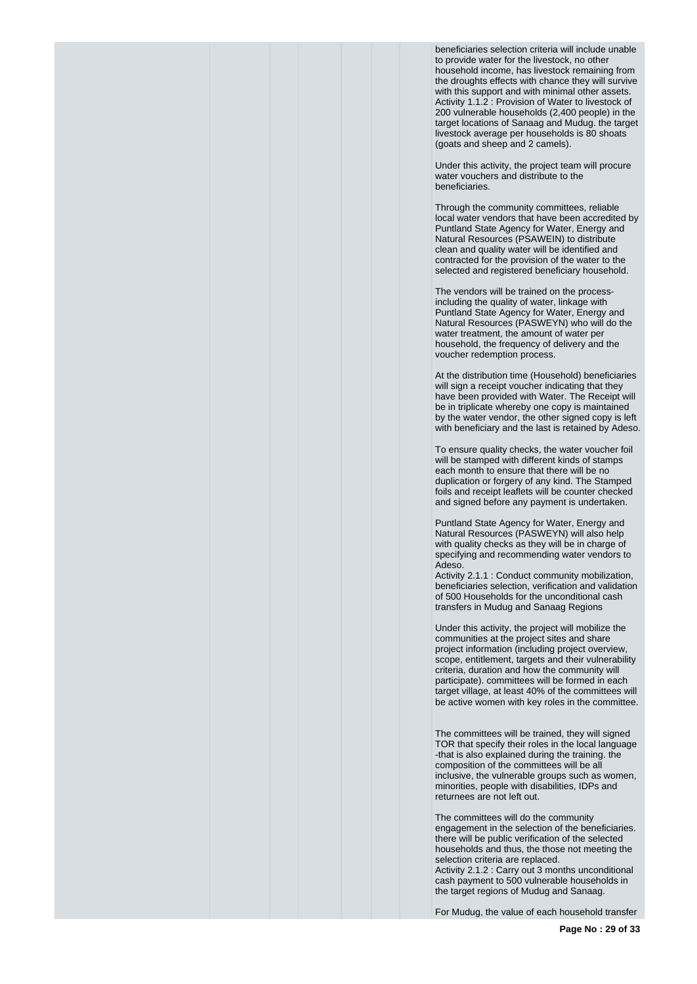beneficiaries selection criteria will include unable to provide water for the livestock, no other household income, has livestock remaining from the droughts effects with chance they will survive with this support and with minimal other assets. Activity 1.1.2 : Provision of Water to livestock of 200 vulnerable households (2,400 people) in the target locations of Sanaag and Mudug. the target livestock average per households is 80 shoats (goats and sheep and 2 camels).

Under this activity, the project team will procure water vouchers and distribute to the beneficiaries.

Through the community committees, reliable local water vendors that have been accredited by Puntland State Agency for Water, Energy and Natural Resources (PSAWEIN) to distribute clean and quality water will be identified and contracted for the provision of the water to the selected and registered beneficiary household.

The vendors will be trained on the processincluding the quality of water, linkage with Puntland State Agency for Water, Energy and Natural Resources (PASWEYN) who will do the water treatment, the amount of water per household, the frequency of delivery and the voucher redemption process.

At the distribution time (Household) beneficiaries will sign a receipt voucher indicating that they have been provided with Water. The Receipt will be in triplicate whereby one copy is maintained by the water vendor, the other signed copy is left with beneficiary and the last is retained by Adeso.

To ensure quality checks, the water voucher foil will be stamped with different kinds of stamps each month to ensure that there will be no duplication or forgery of any kind. The Stamped foils and receipt leaflets will be counter checked and signed before any payment is undertaken.

Puntland State Agency for Water, Energy and Natural Resources (PASWEYN) will also help with quality checks as they will be in charge of specifying and recommending water vendors to Adeso.

Activity 2.1.1 : Conduct community mobilization, beneficiaries selection, verification and validation of 500 Households for the unconditional cash transfers in Mudug and Sanaag Regions

Under this activity, the project will mobilize the communities at the project sites and share project information (including project overview, scope, entitlement, targets and their vulnerability criteria, duration and how the community will participate). committees will be formed in each target village, at least 40% of the committees will be active women with key roles in the committee.

The committees will be trained, they will signed TOR that specify their roles in the local language -that is also explained during the training. the composition of the committees will be all inclusive, the vulnerable groups such as women, minorities, people with disabilities, IDPs and returnees are not left out.

The committees will do the community engagement in the selection of the beneficiaries. there will be public verification of the selected households and thus, the those not meeting the selection criteria are replaced. Activity 2.1.2 : Carry out 3 months unconditional cash payment to 500 vulnerable households in the target regions of Mudug and Sanaag.

For Mudug, the value of each household transfer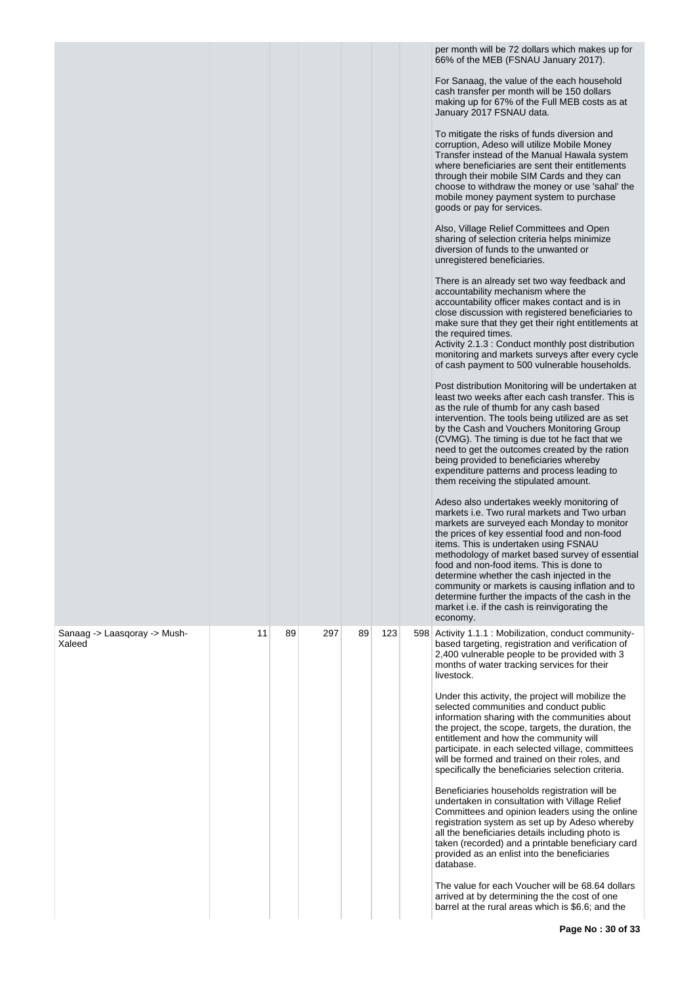|                                        |    |    |     |    |     | per month will be 72 dollars which makes up for<br>66% of the MEB (FSNAU January 2017).<br>For Sanaag, the value of the each household<br>cash transfer per month will be 150 dollars<br>making up for 67% of the Full MEB costs as at<br>January 2017 FSNAU data.<br>To mitigate the risks of funds diversion and<br>corruption, Adeso will utilize Mobile Money<br>Transfer instead of the Manual Hawala system<br>where beneficiaries are sent their entitlements<br>through their mobile SIM Cards and they can<br>choose to withdraw the money or use 'sahal' the<br>mobile money payment system to purchase<br>goods or pay for services.<br>Also, Village Relief Committees and Open<br>sharing of selection criteria helps minimize<br>diversion of funds to the unwanted or<br>unregistered beneficiaries.<br>There is an already set two way feedback and<br>accountability mechanism where the<br>accountability officer makes contact and is in<br>close discussion with registered beneficiaries to<br>make sure that they get their right entitlements at<br>the required times.<br>Activity 2.1.3 : Conduct monthly post distribution<br>monitoring and markets surveys after every cycle<br>of cash payment to 500 vulnerable households.<br>Post distribution Monitoring will be undertaken at<br>least two weeks after each cash transfer. This is<br>as the rule of thumb for any cash based<br>intervention. The tools being utilized are as set<br>by the Cash and Vouchers Monitoring Group<br>(CVMG). The timing is due tot he fact that we<br>need to get the outcomes created by the ration<br>being provided to beneficiaries whereby<br>expenditure patterns and process leading to<br>them receiving the stipulated amount.<br>Adeso also undertakes weekly monitoring of<br>markets i.e. Two rural markets and Two urban<br>markets are surveyed each Monday to monitor<br>the prices of key essential food and non-food<br>items. This is undertaken using FSNAU<br>methodology of market based survey of essential<br>food and non-food items. This is done to<br>determine whether the cash injected in the<br>community or markets is causing inflation and to<br>determine further the impacts of the cash in the<br>market i.e. if the cash is reinvigorating the<br>economy. |
|----------------------------------------|----|----|-----|----|-----|------------------------------------------------------------------------------------------------------------------------------------------------------------------------------------------------------------------------------------------------------------------------------------------------------------------------------------------------------------------------------------------------------------------------------------------------------------------------------------------------------------------------------------------------------------------------------------------------------------------------------------------------------------------------------------------------------------------------------------------------------------------------------------------------------------------------------------------------------------------------------------------------------------------------------------------------------------------------------------------------------------------------------------------------------------------------------------------------------------------------------------------------------------------------------------------------------------------------------------------------------------------------------------------------------------------------------------------------------------------------------------------------------------------------------------------------------------------------------------------------------------------------------------------------------------------------------------------------------------------------------------------------------------------------------------------------------------------------------------------------------------------------------------------------------------------------------------------------------------------------------------------------------------------------------------------------------------------------------------------------------------------------------------------------------------------------------------------------------------------------------------------------------------------------------------------------------------------------------------------------------------------------------------------------------------------|
| Sanaag -> Laasqoray -> Mush-<br>Xaleed | 11 | 89 | 297 | 89 | 123 | 598 Activity 1.1.1 : Mobilization, conduct community-<br>based targeting, registration and verification of<br>2,400 vulnerable people to be provided with 3<br>months of water tracking services for their<br>livestock.<br>Under this activity, the project will mobilize the<br>selected communities and conduct public<br>information sharing with the communities about<br>the project, the scope, targets, the duration, the<br>entitlement and how the community will<br>participate. in each selected village, committees<br>will be formed and trained on their roles, and<br>specifically the beneficiaries selection criteria.<br>Beneficiaries households registration will be<br>undertaken in consultation with Village Relief<br>Committees and opinion leaders using the online<br>registration system as set up by Adeso whereby<br>all the beneficiaries details including photo is<br>taken (recorded) and a printable beneficiary card<br>provided as an enlist into the beneficiaries<br>database.<br>The value for each Voucher will be 68.64 dollars<br>arrived at by determining the the cost of one<br>barrel at the rural areas which is \$6.6; and the                                                                                                                                                                                                                                                                                                                                                                                                                                                                                                                                                                                                                                                                                                                                                                                                                                                                                                                                                                                                                                                                                                                                 |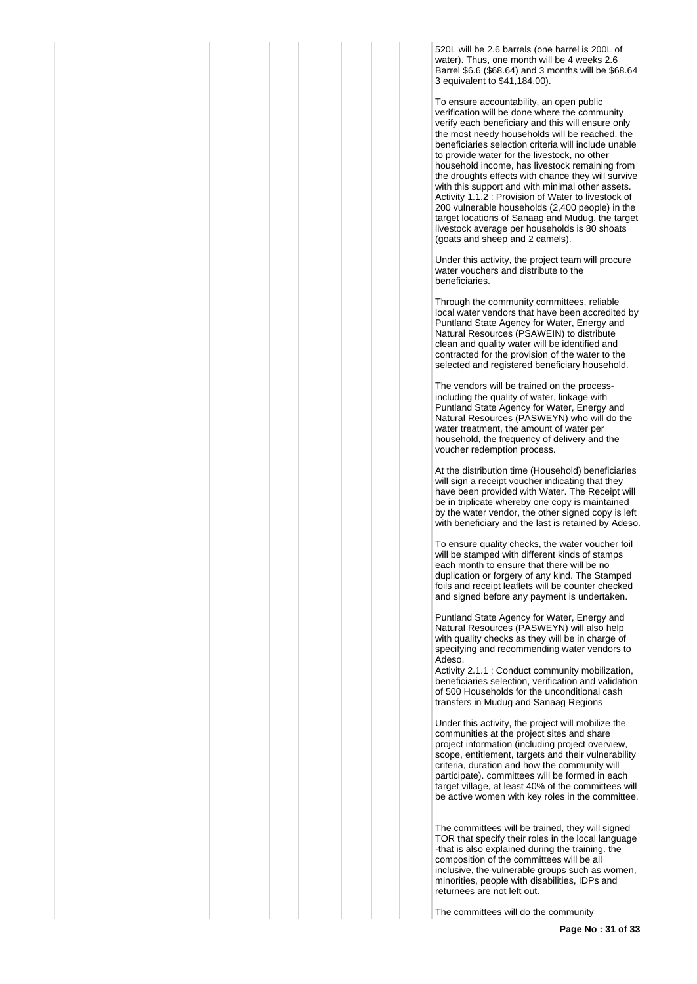520L will be 2.6 barrels (one barrel is 200L of water). Thus, one month will be 4 weeks 2.6 Barrel \$6.6 (\$68.64) and 3 months will be \$68.64 3 equivalent to \$41,184.00).

To ensure accountability, an open public verification will be done where the community verify each beneficiary and this will ensure only the most needy households will be reached. the beneficiaries selection criteria will include unable to provide water for the livestock, no other household income, has livestock remaining from the droughts effects with chance they will survive with this support and with minimal other assets. Activity 1.1.2 : Provision of Water to livestock of 200 vulnerable households (2,400 people) in the target locations of Sanaag and Mudug. the target livestock average per households is 80 shoats (goats and sheep and 2 camels).

Under this activity, the project team will procure water vouchers and distribute to the beneficiaries.

Through the community committees, reliable local water vendors that have been accredited by Puntland State Agency for Water, Energy and Natural Resources (PSAWEIN) to distribute clean and quality water will be identified and contracted for the provision of the water to the selected and registered beneficiary household.

The vendors will be trained on the processincluding the quality of water, linkage with Puntland State Agency for Water, Energy and Natural Resources (PASWEYN) who will do the water treatment, the amount of water per household, the frequency of delivery and the voucher redemption process.

At the distribution time (Household) beneficiaries will sign a receipt voucher indicating that they have been provided with Water. The Receipt will be in triplicate whereby one copy is maintained by the water vendor, the other signed copy is left with beneficiary and the last is retained by Adeso.

To ensure quality checks, the water voucher foil will be stamped with different kinds of stamps each month to ensure that there will be no duplication or forgery of any kind. The Stamped foils and receipt leaflets will be counter checked and signed before any payment is undertaken.

Puntland State Agency for Water, Energy and Natural Resources (PASWEYN) will also help with quality checks as they will be in charge of specifying and recommending water vendors to Adeso.

Activity 2.1.1 : Conduct community mobilization, beneficiaries selection, verification and validation of 500 Households for the unconditional cash transfers in Mudug and Sanaag Regions

Under this activity, the project will mobilize the communities at the project sites and share project information (including project overview, scope, entitlement, targets and their vulnerability criteria, duration and how the community will participate). committees will be formed in each target village, at least 40% of the committees will be active women with key roles in the committee.

The committees will be trained, they will signed TOR that specify their roles in the local language -that is also explained during the training. the composition of the committees will be all inclusive, the vulnerable groups such as women, minorities, people with disabilities, IDPs and returnees are not left out.

The committees will do the community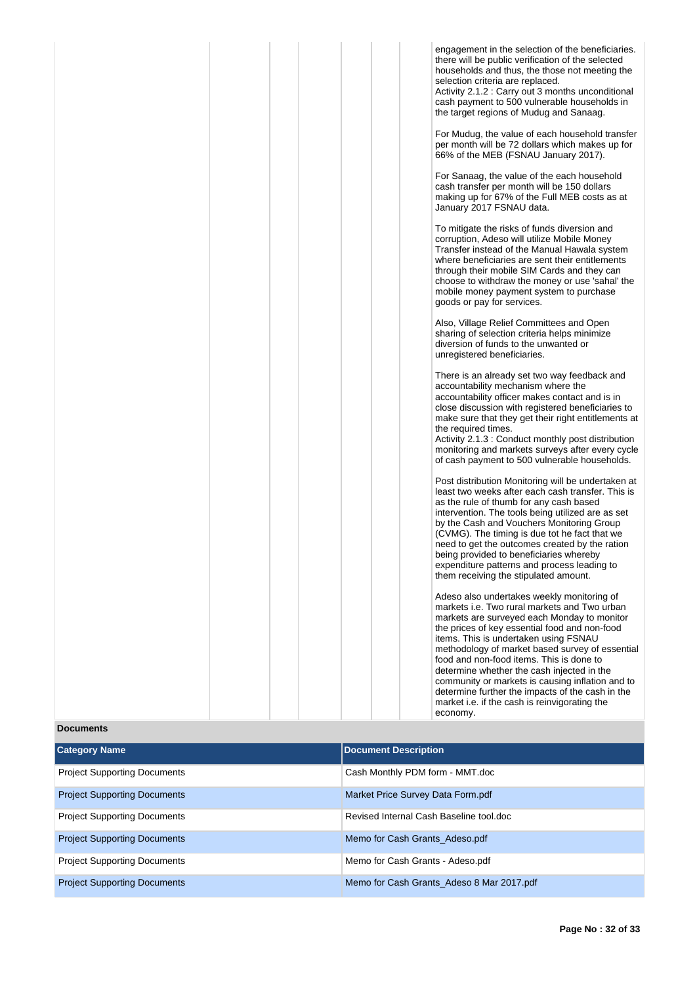|                                     | engagement in the selection of the beneficiaries.<br>there will be public verification of the selected<br>households and thus, the those not meeting the<br>selection criteria are replaced.<br>Activity 2.1.2 : Carry out 3 months unconditional<br>cash payment to 500 vulnerable households in<br>the target regions of Mudug and Sanaag.<br>For Mudug, the value of each household transfer<br>per month will be 72 dollars which makes up for<br>66% of the MEB (FSNAU January 2017).<br>For Sanaag, the value of the each household<br>cash transfer per month will be 150 dollars<br>making up for 67% of the Full MEB costs as at<br>January 2017 FSNAU data.<br>To mitigate the risks of funds diversion and<br>corruption, Adeso will utilize Mobile Money<br>Transfer instead of the Manual Hawala system<br>where beneficiaries are sent their entitlements<br>through their mobile SIM Cards and they can<br>choose to withdraw the money or use 'sahal' the<br>mobile money payment system to purchase<br>goods or pay for services.<br>Also, Village Relief Committees and Open<br>sharing of selection criteria helps minimize<br>diversion of funds to the unwanted or<br>unregistered beneficiaries.<br>There is an already set two way feedback and<br>accountability mechanism where the<br>accountability officer makes contact and is in<br>close discussion with registered beneficiaries to<br>make sure that they get their right entitlements at<br>the required times.<br>Activity 2.1.3 : Conduct monthly post distribution<br>monitoring and markets surveys after every cycle<br>of cash payment to 500 vulnerable households.<br>Post distribution Monitoring will be undertaken at<br>least two weeks after each cash transfer. This is<br>as the rule of thumb for any cash based<br>intervention. The tools being utilized are as set<br>by the Cash and Vouchers Monitoring Group<br>(CVMG). The timing is due tot he fact that we<br>need to get the outcomes created by the ration<br>being provided to beneficiaries whereby<br>expenditure patterns and process leading to<br>them receiving the stipulated amount.<br>Adeso also undertakes weekly monitoring of<br>markets i.e. Two rural markets and Two urban<br>markets are surveyed each Monday to monitor<br>the prices of key essential food and non-food<br>items. This is undertaken using FSNAU<br>methodology of market based survey of essential<br>food and non-food items. This is done to<br>determine whether the cash injected in the<br>community or markets is causing inflation and to<br>determine further the impacts of the cash in the<br>market i.e. if the cash is reinvigorating the<br>economy. |  |  |  |
|-------------------------------------|---------------------------------------------------------------------------------------------------------------------------------------------------------------------------------------------------------------------------------------------------------------------------------------------------------------------------------------------------------------------------------------------------------------------------------------------------------------------------------------------------------------------------------------------------------------------------------------------------------------------------------------------------------------------------------------------------------------------------------------------------------------------------------------------------------------------------------------------------------------------------------------------------------------------------------------------------------------------------------------------------------------------------------------------------------------------------------------------------------------------------------------------------------------------------------------------------------------------------------------------------------------------------------------------------------------------------------------------------------------------------------------------------------------------------------------------------------------------------------------------------------------------------------------------------------------------------------------------------------------------------------------------------------------------------------------------------------------------------------------------------------------------------------------------------------------------------------------------------------------------------------------------------------------------------------------------------------------------------------------------------------------------------------------------------------------------------------------------------------------------------------------------------------------------------------------------------------------------------------------------------------------------------------------------------------------------------------------------------------------------------------------------------------------------------------------------------------------------------------------------------------------------------------------------------------------------------------------------------------------------------------------------------------------------------------------------------------------------|--|--|--|
| <b>Documents</b>                    |                                                                                                                                                                                                                                                                                                                                                                                                                                                                                                                                                                                                                                                                                                                                                                                                                                                                                                                                                                                                                                                                                                                                                                                                                                                                                                                                                                                                                                                                                                                                                                                                                                                                                                                                                                                                                                                                                                                                                                                                                                                                                                                                                                                                                                                                                                                                                                                                                                                                                                                                                                                                                                                                                                                     |  |  |  |
| <b>Category Name</b>                | <b>Document Description</b>                                                                                                                                                                                                                                                                                                                                                                                                                                                                                                                                                                                                                                                                                                                                                                                                                                                                                                                                                                                                                                                                                                                                                                                                                                                                                                                                                                                                                                                                                                                                                                                                                                                                                                                                                                                                                                                                                                                                                                                                                                                                                                                                                                                                                                                                                                                                                                                                                                                                                                                                                                                                                                                                                         |  |  |  |
| <b>Project Supporting Documents</b> | Cash Monthly PDM form - MMT.doc                                                                                                                                                                                                                                                                                                                                                                                                                                                                                                                                                                                                                                                                                                                                                                                                                                                                                                                                                                                                                                                                                                                                                                                                                                                                                                                                                                                                                                                                                                                                                                                                                                                                                                                                                                                                                                                                                                                                                                                                                                                                                                                                                                                                                                                                                                                                                                                                                                                                                                                                                                                                                                                                                     |  |  |  |
| <b>Project Supporting Documents</b> | Market Price Survey Data Form ndf                                                                                                                                                                                                                                                                                                                                                                                                                                                                                                                                                                                                                                                                                                                                                                                                                                                                                                                                                                                                                                                                                                                                                                                                                                                                                                                                                                                                                                                                                                                                                                                                                                                                                                                                                                                                                                                                                                                                                                                                                                                                                                                                                                                                                                                                                                                                                                                                                                                                                                                                                                                                                                                                                   |  |  |  |

| <b>Project Supporting Documents</b> | Market Price Survey Data Form.pdf         |
|-------------------------------------|-------------------------------------------|
| <b>Project Supporting Documents</b> | Revised Internal Cash Baseline tool.doc   |
| <b>Project Supporting Documents</b> | Memo for Cash Grants Adeso.pdf            |
| <b>Project Supporting Documents</b> | Memo for Cash Grants - Adeso.pdf          |
| <b>Project Supporting Documents</b> | Memo for Cash Grants Adeso 8 Mar 2017.pdf |